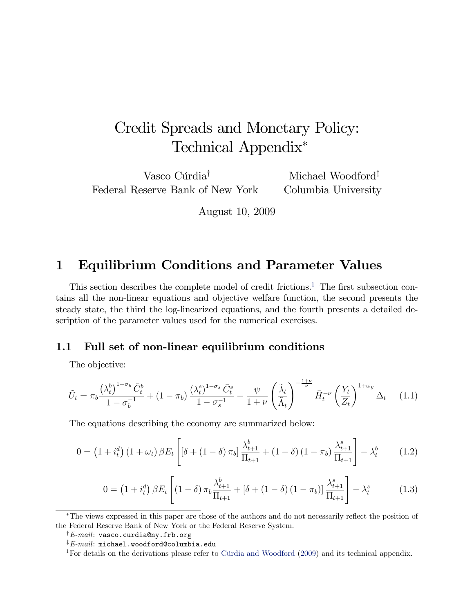# Credit Spreads and Monetary Policy: Technical Appendix

Vasco Cúrdia<sup>†</sup> Federal Reserve Bank of New York Michael Woodford $^{\ddagger}$ Columbia University

August 10, 2009

## 1 Equilibrium Conditions and Parameter Values

This section describes the complete model of credit frictions.<sup>[1](#page-0-0)</sup> The first subsection contains all the non-linear equations and objective welfare function, the second presents the steady state, the third the log-linearized equations, and the fourth presents a detailed description of the parameter values used for the numerical exercises.

## 1.1 Full set of non-linear equilibrium conditions

The objective:

$$
\tilde{U}_t = \pi_b \frac{\left(\lambda_t^b\right)^{1-\sigma_b} \bar{C}_t^b}{1-\sigma_b^{-1}} + (1-\pi_b) \frac{\left(\lambda_t^s\right)^{1-\sigma_s} \bar{C}_t^s}{1-\sigma_s^{-1}} - \frac{\psi}{1+\nu} \left(\frac{\tilde{\lambda}_t}{\tilde{\Lambda}_t}\right)^{-\frac{1+\nu}{\nu}} \bar{H}_t^{-\nu} \left(\frac{Y_t}{Z_t}\right)^{1+\omega_y} \Delta_t \tag{1.1}
$$

The equations describing the economy are summarized below:

$$
0 = (1 + i_t^d) (1 + \omega_t) \beta E_t \left[ \left[ \delta + (1 - \delta) \pi_b \right] \frac{\lambda_{t+1}^b}{\Pi_{t+1}} + (1 - \delta) (1 - \pi_b) \frac{\lambda_{t+1}^s}{\Pi_{t+1}} \right] - \lambda_t^b \tag{1.2}
$$

$$
0 = (1 + i_t^d) \beta E_t \left[ (1 - \delta) \pi_b \frac{\lambda_{t+1}^b}{\Pi_{t+1}} + [\delta + (1 - \delta) (1 - \pi_b)] \frac{\lambda_{t+1}^s}{\Pi_{t+1}} \right] - \lambda_t^s \tag{1.3}
$$

<sup>\*</sup>The views expressed in this paper are those of the authors and do not necessarily reflect the position of the Federal Reserve Bank of New York or the Federal Reserve System.

 $\dagger$ E-mail: vasco.curdia@ny.frb.org

 $E$ -mail: michael.woodford@columbia.edu

<span id="page-0-0"></span><sup>&</sup>lt;sup>1</sup>For details on the derivations please refer to Cúrdia and Woodford  $(2009)$  and its technical appendix.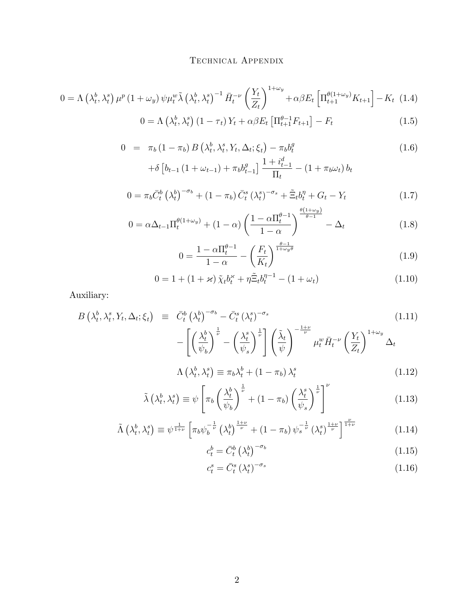$$
0 = \Lambda \left(\lambda_t^b, \lambda_t^s\right) \mu^p \left(1 + \omega_y\right) \psi \mu_t^w \tilde{\lambda} \left(\lambda_t^b, \lambda_t^s\right)^{-1} \bar{H}_t^{-\nu} \left(\frac{Y_t}{Z_t}\right)^{1+\omega_y} + \alpha \beta E_t \left[\Pi_{t+1}^{\theta(1+\omega_y)} K_{t+1}\right] - K_t \tag{1.4}
$$
\n
$$
0 = \Lambda \left(\lambda_t^b, \lambda_t^s\right) \left(1 - \tau_t\right) Y_t + \alpha \beta E_t \left[\Pi_{t+1}^{\theta-1} F_{t+1}\right] - F_t \tag{1.5}
$$

$$
0 = \pi_b (1 - \pi_b) B\left(\lambda_t^b, \lambda_t^s, Y_t, \Delta_t; \xi_t\right) - \pi_b b_t^g
$$
\n(1.6)

$$
+ \delta \left[ b_{t-1} \left( 1 + \omega_{t-1} \right) + \pi_b b_{t-1}^g \right] \frac{1 + i_{t-1}^d}{\Pi_t} - \left( 1 + \pi_b \omega_t \right) b_t
$$

$$
0 = \pi_b \bar{C}_t^b \left(\lambda_t^b\right)^{-\sigma_b} + (1 - \pi_b) \bar{C}_t^s \left(\lambda_t^s\right)^{-\sigma_s} + \tilde{\Xi}_t b_t^{\eta} + G_t - Y_t \tag{1.7}
$$

$$
0 = \alpha \Delta_{t-1} \Pi_t^{\theta(1+\omega_y)} + (1-\alpha) \left( \frac{1 - \alpha \Pi_t^{\theta-1}}{1-\alpha} \right)^{\frac{\theta(1+\omega_y)}{\theta-1}} - \Delta_t \tag{1.8}
$$

$$
0 = \frac{1 - \alpha \Pi_t^{\theta - 1}}{1 - \alpha} - \left(\frac{F_t}{K_t}\right)^{\frac{\theta - 1}{1 + \omega_y \theta}}
$$
(1.9)

$$
0 = 1 + (1 + \varkappa) \tilde{\chi}_t b_t^{\varkappa} + \eta \tilde{\Xi}_t b_t^{\eta - 1} - (1 + \omega_t)
$$
 (1.10)

Auxiliary:

$$
B\left(\lambda_t^b, \lambda_t^s, Y_t, \Delta_t; \xi_t\right) \equiv \bar{C}_t^b \left(\lambda_t^b\right)^{-\sigma_b} - \bar{C}_t^s \left(\lambda_t^s\right)^{-\sigma_s} - \left[\left(\frac{\lambda_t^b}{\psi_b}\right)^{\frac{1}{\nu}} - \left(\frac{\lambda_t^s}{\psi_s}\right)^{\frac{1}{\nu}}\right] \left(\frac{\tilde{\lambda}_t}{\psi}\right)^{-\frac{1+\nu}{\nu}} \mu_t^w \bar{H}_t^{-\nu} \left(\frac{Y_t}{Z_t}\right)^{1+\omega_y} \Delta_t
$$
\n
$$
+ \left(\lambda_t^b, \lambda_s^s\right) \qquad \lambda_t^b \left(\lambda_t^s, \lambda_s^s\right) \qquad (1.12)
$$

$$
\Lambda\left(\lambda_t^b,\lambda_t^s\right) \equiv \pi_b\lambda_t^b + \left(1 - \pi_b\right)\lambda_t^s \tag{1.12}
$$

$$
\tilde{\lambda}\left(\lambda_t^b, \lambda_t^s\right) \equiv \psi \left[ \pi_b \left( \frac{\lambda_t^b}{\psi_b} \right)^{\frac{1}{\nu}} + (1 - \pi_b) \left( \frac{\lambda_t^s}{\psi_s} \right)^{\frac{1}{\nu}} \right]^\nu \tag{1.13}
$$

$$
\tilde{\Lambda}\left(\lambda_t^b, \lambda_t^s\right) \equiv \psi^{\frac{1}{1+\nu}} \left[\pi_b \psi_b^{-\frac{1}{\nu}}\left(\lambda_t^b\right)^{\frac{1+\nu}{\nu}} + \left(1 - \pi_b\right) \psi_s^{-\frac{1}{\nu}}\left(\lambda_t^s\right)^{\frac{1+\nu}{\nu}}\right]^{\frac{\nu}{1+\nu}}
$$
\n(1.14)

$$
c_t^b = \bar{C}_t^b \left(\lambda_t^b\right)^{-\sigma_b} \tag{1.15}
$$

$$
c_t^s = \bar{C}_t^s \left(\lambda_t^s\right)^{-\sigma_s} \tag{1.16}
$$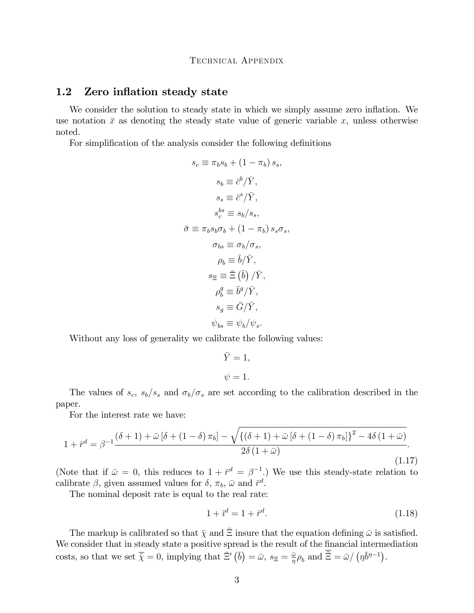## 1.2 Zero inflation steady state

We consider the solution to steady state in which we simply assume zero inflation. We use notation  $\bar{x}$  as denoting the steady state value of generic variable x, unless otherwise noted.

For simplification of the analysis consider the following definitions

$$
s_c \equiv \pi_b s_b + (1 - \pi_b) s_s,
$$
  
\n
$$
s_b \equiv \bar{c}^b / \bar{Y},
$$
  
\n
$$
s_s \equiv \bar{c}^s / \bar{Y},
$$
  
\n
$$
s_c^{bs} \equiv s_b / s_s,
$$
  
\n
$$
\bar{\sigma} \equiv \pi_b s_b \sigma_b + (1 - \pi_b) s_s \sigma_s,
$$
  
\n
$$
\sigma_{bs} \equiv \sigma_b / \sigma_s,
$$
  
\n
$$
\rho_b \equiv \bar{b} / \bar{Y},
$$
  
\n
$$
s_{\Xi} \equiv \bar{\Xi} (\bar{b}) / \bar{Y},
$$
  
\n
$$
\rho_b^g \equiv \bar{b}^g / \bar{Y},
$$
  
\n
$$
s_g \equiv \bar{G} / \bar{Y},
$$
  
\n
$$
\psi_{bs} \equiv \psi_b / \psi_s.
$$

Without any loss of generality we calibrate the following values:

$$
\bar{Y} = 1,
$$
  

$$
\psi = 1.
$$

The values of  $s_c$ ,  $s_b/s_s$  and  $\sigma_b/\sigma_s$  are set according to the calibration described in the paper.

For the interest rate we have:

$$
1 + \bar{r}^d = \beta^{-1} \frac{(\delta + 1) + \bar{\omega} \left[\delta + (1 - \delta) \pi_b\right] - \sqrt{\left\{(\delta + 1) + \bar{\omega} \left[\delta + (1 - \delta) \pi_b\right]\right\}^2 - 4\delta \left(1 + \bar{\omega}\right)}}{2\delta \left(1 + \bar{\omega}\right)}.
$$
\n(1.17)

(Note that if  $\bar{\omega} = 0$ , this reduces to  $1 + \bar{r}^d = \beta^{-1}$ .) We use this steady-state relation to calibrate  $\beta$ , given assumed values for  $\delta$ ,  $\pi_b$ ,  $\bar{\omega}$  and  $\bar{r}^d$ .

The nominal deposit rate is equal to the real rate:

$$
1 + \bar{v}^d = 1 + \bar{r}^d. \tag{1.18}
$$

The markup is calibrated so that  $\bar{\chi}$  and  $\bar{\Xi}$  insure that the equation defining  $\bar{\omega}$  is satisfied. We consider that in steady state a positive spread is the result of the financial intermediation costs, so that we set  $\overline{\tilde{\chi}} = 0$ , implying that  $\overline{\tilde{\Xi}}'(\overline{b}) = \overline{\omega}$ ,  $s_{\Xi} = \frac{\overline{\omega}}{n}$  $\frac{\bar{\omega}}{\eta} \rho_b$  and  $\tilde{\Xi} = \bar{\omega} / (\eta \bar{b}^{\eta - 1}).$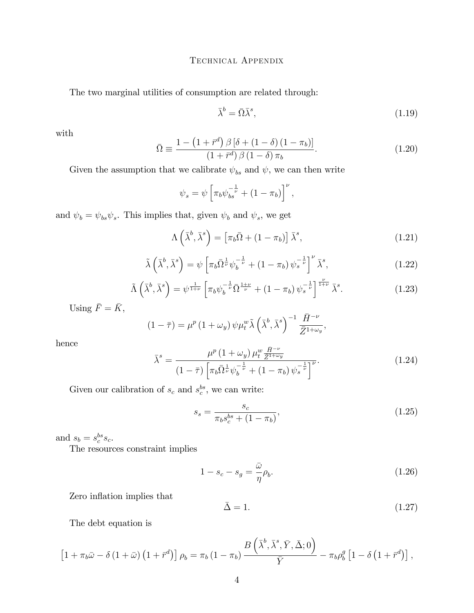The two marginal utilities of consumption are related through:

$$
\bar{\lambda}^b = \bar{\Omega}\bar{\lambda}^s,\tag{1.19}
$$

with

$$
\bar{\Omega} \equiv \frac{1 - \left(1 + \bar{r}^d\right) \beta \left[\delta + \left(1 - \delta\right) \left(1 - \pi_b\right)\right]}{\left(1 + \bar{r}^d\right) \beta \left(1 - \delta\right) \pi_b}.\tag{1.20}
$$

Given the assumption that we calibrate  $\psi_{bs}$  and  $\psi$ , we can then write

$$
\psi_s = \psi \left[ \pi_b \psi_{bs}^{-\frac{1}{\nu}} + (1 - \pi_b) \right]^{\nu},
$$

and  $\psi_b = \psi_{bs} \psi_s$ . This implies that, given  $\psi_b$  and  $\psi_s$ , we get

$$
\Lambda\left(\bar{\lambda}^b,\bar{\lambda}^s\right) = \left[\pi_b\bar{\Omega} + (1-\pi_b)\right]\bar{\lambda}^s,\tag{1.21}
$$

$$
\tilde{\lambda}\left(\bar{\lambda}^b,\bar{\lambda}^s\right) = \psi\left[\pi_b\bar{\Omega}^{\frac{1}{\nu}}\psi_b^{-\frac{1}{\nu}} + (1-\pi_b)\psi_s^{-\frac{1}{\nu}}\right]^\nu \bar{\lambda}^s,\tag{1.22}
$$

$$
\tilde{\Lambda}\left(\bar{\lambda}^b,\bar{\lambda}^s\right) = \psi^{\frac{1}{1+\nu}}\left[\pi_b\psi_b^{-\frac{1}{\nu}}\bar{\Omega}^{\frac{1+\nu}{\nu}} + (1-\pi_b)\,\psi_s^{-\frac{1}{\nu}}\right]^{\frac{\nu}{1+\nu}}\bar{\lambda}^s. \tag{1.23}
$$

Using  $\bar{F} = \bar{K}$ ,

$$
(1 - \overline{\tau}) = \mu^{p} (1 + \omega_{y}) \psi \mu_{t}^{w} \tilde{\lambda} \left( \bar{\lambda}^{b}, \bar{\lambda}^{s} \right)^{-1} \frac{\bar{H}^{-\nu}}{\bar{Z}^{1 + \omega_{y}}},
$$

hence

$$
\bar{\lambda}^{s} = \frac{\mu^{p} (1 + \omega_{y}) \mu_{t}^{w} \frac{\bar{H}^{-\nu}}{\bar{Z}^{1+\omega_{y}}}}{(1 - \bar{\tau}) \left[ \pi_{b} \bar{\Omega}^{\frac{1}{\nu}} \psi_{b}^{-\frac{1}{\nu}} + (1 - \pi_{b}) \psi_{s}^{-\frac{1}{\nu}} \right]^{\nu}}.
$$
\n(1.24)

Given our calibration of  $s_c$  and  $s_c^{bs}$ , we can write:

$$
s_s = \frac{s_c}{\pi_b s_c^{bs} + (1 - \pi_b)},\tag{1.25}
$$

and  $s_b = s_c^{bs} s_c$ .

The resources constraint implies

<span id="page-3-0"></span>
$$
1 - s_c - s_g = \frac{\bar{\omega}}{\eta} \rho_b. \tag{1.26}
$$

Zero inflation implies that

$$
\bar{\Delta} = 1. \tag{1.27}
$$

The debt equation is

$$
\left[1+\pi_b\bar{\omega}-\delta\left(1+\bar{\omega}\right)\left(1+\bar{r}^d\right)\right]\rho_b=\pi_b\left(1-\pi_b\right)\frac{B\left(\bar{\lambda}^b,\bar{\lambda}^s,\bar{Y},\bar{\Delta};0\right)}{\bar{Y}}-\pi_b\rho_b^g\left[1-\delta\left(1+\bar{r}^d\right)\right],
$$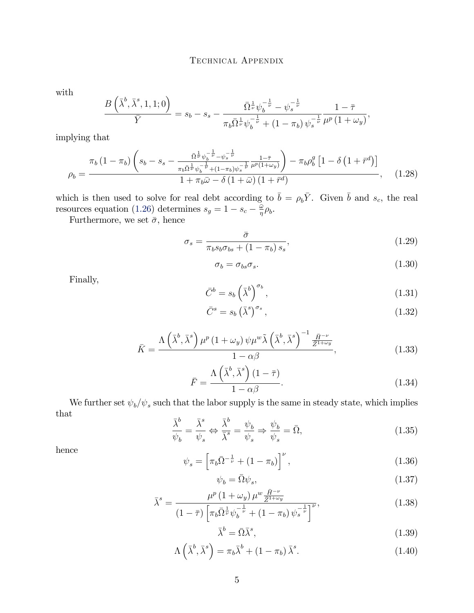with

$$
\frac{B\left(\bar{\lambda}^b,\bar{\lambda}^s,1,1;0\right)}{\bar{Y}}=s_b-s_s-\frac{\bar{\Omega}^{\frac{1}{\nu}}\psi_b^{-\frac{1}{\nu}}-\psi_s^{-\frac{1}{\nu}}}{\pi_b\bar{\Omega}^{\frac{1}{\nu}}\psi_b^{-\frac{1}{\nu}}+(1-\pi_b)\,\psi_s^{-\frac{1}{\nu}}}\frac{1-\bar{\tau}}{\mu^p\,(1+\omega_y)},
$$

implying that

$$
\rho_b = \frac{\pi_b (1 - \pi_b) \left( s_b - s_s - \frac{\bar{\Omega}^{\frac{1}{\nu}} \psi_b^{-\frac{1}{\nu}} - \psi_s^{-\frac{1}{\nu}}}{\pi_b \bar{\Omega}^{\frac{1}{\nu}} \psi_b^{-\frac{1}{\nu}} + (1 - \pi_b) \psi_s^{-\frac{1}{\nu}} \mu^p (1 + \omega_y)} \right) - \pi_b \rho_b^g \left[ 1 - \delta \left( 1 + \bar{r}^d \right) \right]}{1 + \pi_b \bar{\omega} - \delta \left( 1 + \bar{\omega} \right) \left( 1 + \bar{r}^d \right)}, \quad (1.28)
$$

which is then used to solve for real debt according to  $\bar{b} = \rho_b \bar{Y}$ . Given  $\bar{b}$  and  $s_c$ , the real resources equation [\(1.26\)](#page-3-0) determines  $s_g = 1 - s_c - \frac{\bar{\omega}}{\eta}$  $\frac{\bar{\omega}}{\eta}\rho_{b}$ .

Furthermore, we set  $\bar{\sigma},$  hence

$$
\sigma_s = \frac{\bar{\sigma}}{\pi_b s_b \sigma_{bs} + (1 - \pi_b) s_s},\tag{1.29}
$$

$$
\sigma_b = \sigma_{bs}\sigma_s. \tag{1.30}
$$

Finally,

$$
\bar{C}^b = s_b \left(\bar{\lambda}^b\right)^{\sigma_b},\tag{1.31}
$$

$$
\bar{C}^s = s_b \left(\bar{\lambda}^s\right)^{\sigma_s},\tag{1.32}
$$

$$
\bar{K} = \frac{\Lambda\left(\bar{\lambda}^b, \bar{\lambda}^s\right)\mu^p\left(1 + \omega_y\right)\psi\mu^w\tilde{\lambda}\left(\bar{\lambda}^b, \bar{\lambda}^s\right)^{-1}\frac{\bar{H}^{-\nu}}{\bar{Z}^{1+\omega_y}}}{1 - \alpha\beta},\tag{1.33}
$$

$$
\bar{F} = \frac{\Lambda\left(\bar{\lambda}^b, \bar{\lambda}^s\right)(1-\bar{\tau})}{1-\alpha\beta}.
$$
\n(1.34)

We further set  $\psi_b/\psi_s$  such that the labor supply is the same in steady state, which implies that  $\overline{1}$ 

$$
\frac{\bar{\lambda}^b}{\psi_b} = \frac{\bar{\lambda}^s}{\psi_s} \Leftrightarrow \frac{\bar{\lambda}^b}{\bar{\lambda}^s} = \frac{\psi_b}{\psi_s} \Rightarrow \frac{\psi_b}{\psi_s} = \bar{\Omega},\tag{1.35}
$$

hence

$$
\psi_s = \left[ \pi_b \bar{\Omega}^{-\frac{1}{\nu}} + (1 - \pi_b) \right]^{\nu},\tag{1.36}
$$

$$
\psi_b = \bar{\Omega}\psi_s,\tag{1.37}
$$

$$
\bar{\lambda}^{s} = \frac{\mu^{p} (1 + \omega_{y}) \mu^{w} \frac{\bar{H}^{-\nu}}{\bar{Z}^{1+\omega_{y}}}}{(1 - \bar{\tau}) \left[ \pi_{b} \bar{\Omega}^{\frac{1}{\nu}} \psi_{b}^{-\frac{1}{\nu}} + (1 - \pi_{b}) \psi_{s}^{-\frac{1}{\nu}} \right]^{\nu}},
$$
\n(1.38)

$$
\bar{\lambda}^b = \bar{\Omega}\bar{\lambda}^s,\tag{1.39}
$$

$$
\Lambda\left(\bar{\lambda}^b,\bar{\lambda}^s\right) = \pi_b\bar{\lambda}^b + (1 - \pi_b)\bar{\lambda}^s. \tag{1.40}
$$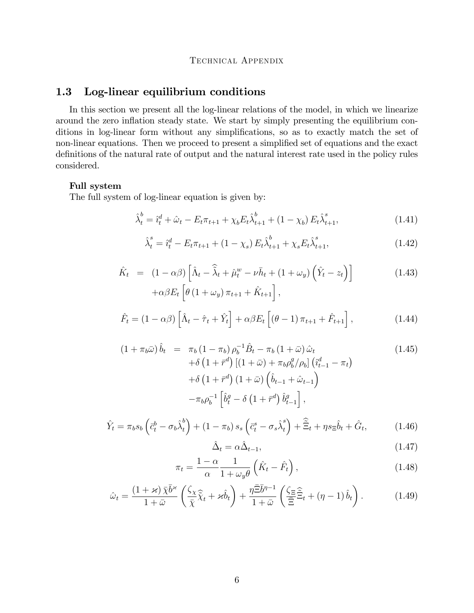## 1.3 Log-linear equilibrium conditions

In this section we present all the log-linear relations of the model, in which we linearize around the zero inflation steady state. We start by simply presenting the equilibrium conditions in log-linear form without any simplifications, so as to exactly match the set of non-linear equations. Then we proceed to present a simplified set of equations and the exact definitions of the natural rate of output and the natural interest rate used in the policy rules considered.

#### Full system

The full system of log-linear equation is given by:

$$
\hat{\lambda}_t^b = \hat{\imath}_t^d + \hat{\omega}_t - E_t \pi_{t+1} + \chi_b E_t \hat{\lambda}_{t+1}^b + (1 - \chi_b) E_t \hat{\lambda}_{t+1}^s, \tag{1.41}
$$

$$
\hat{\lambda}_t^s = \hat{\imath}_t^d - E_t \pi_{t+1} + (1 - \chi_s) E_t \hat{\lambda}_{t+1}^b + \chi_s E_t \hat{\lambda}_{t+1}^s, \tag{1.42}
$$

$$
\hat{K}_t = (1 - \alpha \beta) \left[ \hat{\Lambda}_t - \hat{\tilde{\lambda}}_t + \hat{\mu}_t^w - \nu \bar{h}_t + (1 + \omega_y) \left( \hat{Y}_t - z_t \right) \right]
$$
\n
$$
+ \alpha \beta E_t \left[ \theta \left( 1 + \omega_y \right) \pi_{t+1} + \hat{K}_{t+1} \right],
$$
\n(1.43)

$$
\hat{F}_t = (1 - \alpha \beta) \left[ \hat{\Lambda}_t - \hat{\tau}_t + \hat{Y}_t \right] + \alpha \beta E_t \left[ (\theta - 1) \pi_{t+1} + \hat{F}_{t+1} \right], \tag{1.44}
$$

$$
(1 + \pi_b \bar{\omega}) \hat{b}_t = \pi_b (1 - \pi_b) \rho_b^{-1} \hat{B}_t - \pi_b (1 + \bar{\omega}) \hat{\omega}_t + \delta (1 + \bar{r}^d) \left[ (1 + \bar{\omega}) + \pi_b \rho_b^g / \rho_b \right] \left( \hat{i}_{t-1}^d - \pi_t \right) + \delta (1 + \bar{r}^d) (1 + \bar{\omega}) \left( \hat{b}_{t-1} + \hat{\omega}_{t-1} \right) - \pi_b \rho_b^{-1} \left[ \hat{b}_t^g - \delta (1 + \bar{r}^d) \hat{b}_{t-1}^g \right],
$$
\n
$$
(1.45)
$$

$$
\hat{Y}_t = \pi_b s_b \left( \bar{c}_t^b - \sigma_b \hat{\lambda}_t^b \right) + (1 - \pi_b) s_s \left( \bar{c}_t^s - \sigma_s \hat{\lambda}_t^s \right) + \hat{\Xi}_t + \eta s_{\Xi} \hat{b}_t + \hat{G}_t, \tag{1.46}
$$

$$
\hat{\Delta}_t = \alpha \hat{\Delta}_{t-1},\tag{1.47}
$$

$$
\pi_t = \frac{1 - \alpha}{\alpha} \frac{1}{1 + \omega_y \theta} \left( \hat{K}_t - \hat{F}_t \right), \tag{1.48}
$$

$$
\hat{\omega}_t = \frac{(1+\varkappa)\,\bar{\chi}\bar{b}^{\varkappa}}{1+\bar{\omega}}\left(\frac{\zeta_{\chi}}{\bar{\chi}}\hat{\tilde{\chi}}_t + \varkappa \hat{b}_t\right) + \frac{\eta\bar{\Xi}\bar{b}^{\eta-1}}{1+\bar{\omega}}\left(\frac{\zeta_{\Xi}\,\hat{\Xi}}{\bar{\Xi}}_t + (\eta-1)\,\hat{b}_t\right). \tag{1.49}
$$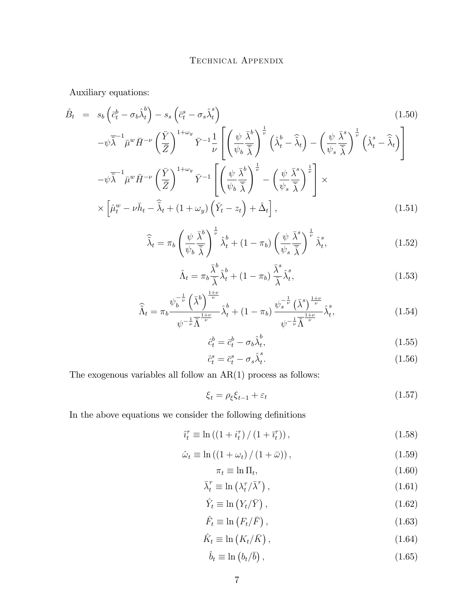Auxiliary equations:

$$
\hat{B}_{t} = s_{b} \left( \bar{c}_{t}^{b} - \sigma_{b} \hat{\lambda}_{t}^{b} \right) - s_{s} \left( \bar{c}_{t}^{s} - \sigma_{s} \hat{\lambda}_{t}^{s} \right)
$$
\n
$$
- \psi \bar{\lambda}^{-1} \bar{\mu}^{w} \bar{H}^{-\nu} \left( \frac{\bar{Y}}{\bar{Z}} \right)^{1+\omega_{y}} \bar{Y}^{-1} \frac{1}{\nu} \left[ \left( \frac{\psi}{\psi_{b}} \frac{\bar{\lambda}^{b}}{\bar{\lambda}} \right)^{\frac{1}{\nu}} \left( \hat{\lambda}_{t}^{b} - \hat{\lambda}_{t} \right) - \left( \frac{\psi}{\psi_{s}} \frac{\bar{\lambda}^{s}}{\bar{\lambda}} \right)^{\frac{1}{\nu}} \left( \hat{\lambda}_{t}^{s} - \hat{\lambda}_{t} \right) \right]
$$
\n
$$
- \psi \bar{\lambda}^{-1} \bar{\mu}^{w} \bar{H}^{-\nu} \left( \frac{\bar{Y}}{\bar{Z}} \right)^{1+\omega_{y}} \bar{Y}^{-1} \left[ \left( \frac{\psi}{\psi_{b}} \frac{\bar{\lambda}^{b}}{\bar{\lambda}} \right)^{\frac{1}{\nu}} - \left( \frac{\psi}{\psi_{s}} \frac{\bar{\lambda}^{s}}{\bar{\lambda}} \right)^{\frac{1}{\nu}} \right] \times
$$
\n
$$
\times \left[ \hat{\mu}_{t}^{w} - \nu \bar{h}_{t} - \hat{\lambda}_{t} + (1 + \omega_{y}) \left( \hat{Y}_{t} - z_{t} \right) + \hat{\Delta}_{t} \right], \tag{1.51}
$$

$$
\widehat{\widetilde{\lambda}}_t = \pi_b \left( \frac{\psi}{\psi_b} \frac{\overline{\lambda}^b}{\widetilde{\lambda}} \right)^{\frac{1}{\nu}} \widehat{\lambda}_t^b + (1 - \pi_b) \left( \frac{\psi}{\psi_s} \frac{\overline{\lambda}^s}{\widetilde{\lambda}} \right)^{\frac{1}{\nu}} \widehat{\lambda}_t^s, \tag{1.52}
$$

$$
\hat{\Lambda}_t = \pi_b \frac{\bar{\lambda}^b}{\bar{\lambda}} \hat{\lambda}^b_t + (1 - \pi_b) \frac{\bar{\lambda}^s}{\bar{\lambda}} \hat{\lambda}^s_t,\tag{1.53}
$$

$$
\widehat{\widetilde{\Lambda}}_t = \pi_b \frac{\psi_b^{-\frac{1}{\nu}} \left(\overline{\lambda}^b\right)^{\frac{1+\nu}{\nu}}}{\psi^{-\frac{1}{\nu}} \widetilde{\Lambda}^{\frac{1+\nu}{\nu}}} \widehat{\lambda}_t^b + (1 - \pi_b) \frac{\psi_s^{-\frac{1}{\nu}} \left(\overline{\lambda}^s\right)^{\frac{1+\nu}{\nu}}}{\psi^{-\frac{1}{\nu}} \widetilde{\Lambda}^{\frac{1+\nu}{\nu}}} \widehat{\lambda}_t^s, \tag{1.54}
$$

$$
\hat{c}_t^b = \bar{c}_t^b - \sigma_b \hat{\lambda}_t^b,\tag{1.55}
$$

$$
\hat{c}_t^s = \bar{c}_t^s - \sigma_s \hat{\lambda}_t^s. \tag{1.56}
$$

The exogenous variables all follow an  $AR(1)$  process as follows:

$$
\xi_t = \rho_{\xi} \xi_{t-1} + \varepsilon_t \tag{1.57}
$$

In the above equations we consider the following definitions  $% \mathcal{N}$ 

$$
\hat{i}_t^{\tau} \equiv \ln\left(\left(1 + i_t^{\tau}\right)/(1 + \bar{i}_t^{\tau})\right),\tag{1.58}
$$

$$
\hat{\omega}_t \equiv \ln\left(\left(1+\omega_t\right)/\left(1+\bar{\omega}\right)\right),\tag{1.59}
$$

$$
\pi_t \equiv \ln \Pi_t,\tag{1.60}
$$

$$
\bar{\lambda}_t^{\tau} \equiv \ln \left( \lambda_t^{\tau} / \bar{\lambda}^{\tau} \right), \tag{1.61}
$$

$$
\hat{Y}_t \equiv \ln \left( Y_t / \bar{Y} \right), \tag{1.62}
$$

$$
\hat{F}_t \equiv \ln \left( F_t / \bar{F} \right), \tag{1.63}
$$

$$
\hat{K}_t \equiv \ln\left(K_t/\bar{K}\right),\tag{1.64}
$$

$$
\hat{b}_t \equiv \ln \left( b_t / \bar{b} \right), \tag{1.65}
$$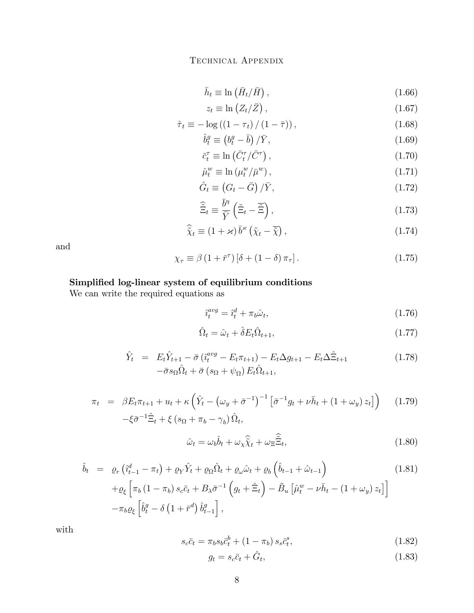$$
\bar{h}_t \equiv \ln\left(\bar{H}_t/\bar{H}\right),\tag{1.66}
$$

$$
z_t \equiv \ln\left(Z_t/\bar{Z}\right),\tag{1.67}
$$

$$
\hat{\tau}_t \equiv -\log\left(\left(1 - \tau_t\right) / \left(1 - \bar{\tau}\right)\right),\tag{1.68}
$$

$$
\hat{b}_t^g \equiv \left(b_t^g - \bar{b}\right) / \bar{Y},\tag{1.69}
$$

$$
\bar{c}_t^{\tau} \equiv \ln\left(\bar{C}_t^{\tau}/\bar{C}^{\tau}\right),\tag{1.70}
$$

$$
\hat{\mu}_t^w \equiv \ln \left( \mu_t^w / \bar{\mu}^w \right),\tag{1.71}
$$

$$
\hat{G}_t \equiv \left(G_t - \bar{G}\right) / \bar{Y},\tag{1.72}
$$

$$
\hat{\tilde{\Xi}}_t \equiv \frac{\bar{b}^{\eta}}{\bar{Y}} \left( \tilde{\Xi}_t - \tilde{\Xi} \right),\tag{1.73}
$$

$$
\widehat{\tilde{\chi}}_t \equiv (1 + \varkappa) \,\overline{b}^{\varkappa} \left( \widetilde{\chi}_t - \overline{\widetilde{\chi}} \right),\tag{1.74}
$$

and

$$
\chi_{\tau} \equiv \beta \left( 1 + \bar{r}^{\tau} \right) \left[ \delta + \left( 1 - \delta \right) \pi_{\tau} \right]. \tag{1.75}
$$

## Simplified log-linear system of equilibrium conditions

We can write the required equations as

$$
\hat{i}_t^{avg} = \hat{i}_t^d + \pi_b \hat{\omega}_t,\tag{1.76}
$$

$$
\hat{\Omega}_t = \hat{\omega}_t + \hat{\delta} E_t \hat{\Omega}_{t+1},\tag{1.77}
$$

$$
\hat{Y}_t = E_t \hat{Y}_{t+1} - \bar{\sigma} \left( \hat{i}_t^{avg} - E_t \pi_{t+1} \right) - E_t \Delta g_{t+1} - E_t \Delta \hat{\Xi}_{t+1} \n- \bar{\sigma} s_\Omega \hat{\Omega}_t + \bar{\sigma} \left( s_\Omega + \psi_\Omega \right) E_t \hat{\Omega}_{t+1},
$$
\n(1.78)

$$
\pi_t = \beta E_t \pi_{t+1} + u_t + \kappa \left( \hat{Y}_t - \left( \omega_y + \bar{\sigma}^{-1} \right)^{-1} \left[ \bar{\sigma}^{-1} g_t + \nu \bar{h}_t + \left( 1 + \omega_y \right) z_t \right] \right) \tag{1.79}
$$

$$
-\xi \bar{\sigma}^{-1} \hat{\Xi}_t + \xi \left( s_{\Omega} + \pi_b - \gamma_b \right) \hat{\Omega}_t,
$$

$$
\hat{\omega}_t = \omega_b \hat{b}_t + \omega_x \hat{\tilde{\chi}}_t + \omega_{\Xi} \hat{\tilde{\Xi}}_t,\tag{1.80}
$$

$$
\hat{b}_t = \varrho_r \left( \hat{i}_{t-1}^d - \pi_t \right) + \varrho_Y \hat{Y}_t + \varrho_\Omega \hat{\Omega}_t + \varrho_\omega \hat{\omega}_t + \varrho_b \left( \hat{b}_{t-1} + \hat{\omega}_{t-1} \right) \qquad (1.81)
$$
\n
$$
+ \varrho_\xi \left[ \pi_b \left( 1 - \pi_b \right) s_c \bar{c}_t + B_\lambda \bar{\sigma}^{-1} \left( g_t + \hat{\Xi}_t \right) - \tilde{B}_u \left[ \hat{\mu}_t^w - \nu \bar{h}_t - \left( 1 + \omega_y \right) z_t \right] \right]
$$
\n
$$
- \pi_b \varrho_\xi \left[ \hat{b}_t^g - \delta \left( 1 + \bar{r}^d \right) \hat{b}_{t-1}^g \right],
$$
\n(1.81)

with

$$
s_c \bar{c}_t = \pi_b s_b \bar{c}_t^b + (1 - \pi_b) s_s \bar{c}_t^s, \qquad (1.82)
$$

$$
g_t = s_c \bar{c}_t + \hat{G}_t,\tag{1.83}
$$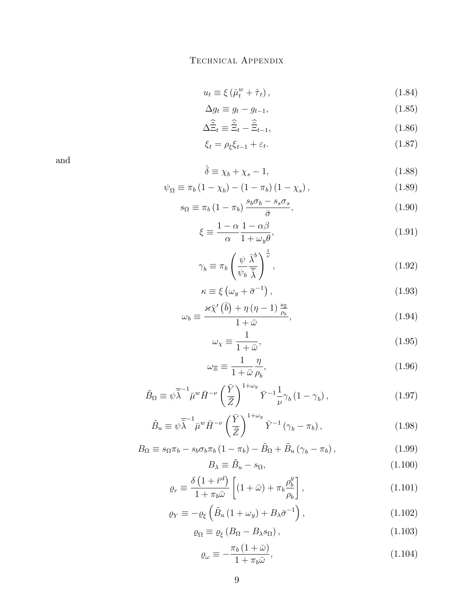$$
u_t \equiv \xi \left(\hat{\mu}_t^w + \hat{\tau}_t\right),\tag{1.84}
$$

$$
\Delta g_t \equiv g_t - g_{t-1},\tag{1.85}
$$

$$
\Delta \widetilde{\Xi}_t \equiv \widetilde{\Xi}_t - \widetilde{\Xi}_{t-1},\tag{1.86}
$$

$$
\xi_t = \rho_\xi \xi_{t-1} + \varepsilon_t. \tag{1.87}
$$

and

$$
\hat{\delta} \equiv \chi_b + \chi_s - 1,\tag{1.88}
$$

$$
\psi_{\Omega} \equiv \pi_b (1 - \chi_b) - (1 - \pi_b) (1 - \chi_s), \qquad (1.89)
$$

$$
s_{\Omega} \equiv \pi_b \left( 1 - \pi_b \right) \frac{s_b \sigma_b - s_s \sigma_s}{\bar{\sigma}}, \tag{1.90}
$$

$$
\xi \equiv \frac{1 - \alpha}{\alpha} \frac{1 - \alpha \beta}{1 + \omega_y \theta},\tag{1.91}
$$

$$
\gamma_b \equiv \pi_b \left( \frac{\psi}{\psi_b} \frac{\bar{\lambda}^b}{\bar{\tilde{\lambda}}} \right)^{\frac{1}{\nu}},\tag{1.92}
$$

$$
\kappa \equiv \xi \left( \omega_y + \bar{\sigma}^{-1} \right), \tag{1.93}
$$

$$
\omega_b \equiv \frac{\varkappa \bar{\chi}'(\bar{b}) + \eta (\eta - 1) \frac{s_{\Xi}}{\rho_b}}{1 + \bar{\omega}}, \qquad (1.94)
$$

$$
\omega_{\chi} \equiv \frac{1}{1+\bar{\omega}},\tag{1.95}
$$

$$
\omega_{\Xi} \equiv \frac{1}{1+\bar{\omega}} \frac{\eta}{\rho_b},\tag{1.96}
$$

$$
\tilde{B}_{\Omega} \equiv \psi \overline{\tilde{\lambda}}^{-1} \bar{\mu}^w \bar{H}^{-\nu} \left(\frac{\bar{Y}}{\bar{Z}}\right)^{1+\omega_y} \bar{Y}^{-1} \frac{1}{\nu} \gamma_b \left(1 - \gamma_b\right),\tag{1.97}
$$

$$
\tilde{B}_u \equiv \psi \overline{\tilde{\lambda}}^{-1} \bar{\mu}^w \bar{H}^{-\nu} \left(\frac{\bar{Y}}{\bar{Z}}\right)^{1+\omega_y} \bar{Y}^{-1} \left(\gamma_b - \pi_b\right),\tag{1.98}
$$

$$
B_{\Omega} \equiv s_{\Omega} \pi_b - s_b \sigma_b \pi_b \left( 1 - \pi_b \right) - \tilde{B}_{\Omega} + \tilde{B}_{u} \left( \gamma_b - \pi_b \right), \qquad (1.99)
$$

$$
B_{\lambda} \equiv \tilde{B}_u - s_{\Omega},\tag{1.100}
$$

$$
\varrho_r \equiv \frac{\delta \left(1 + \bar{r}^d\right)}{1 + \pi_b \bar{\omega}} \left[ (1 + \bar{\omega}) + \pi_b \frac{\rho_b^g}{\rho_b} \right],\tag{1.101}
$$

$$
\varrho_Y \equiv -\varrho_\xi \left( \tilde{B}_u \left( 1 + \omega_y \right) + B_\lambda \bar{\sigma}^{-1} \right), \tag{1.102}
$$

$$
\varrho_{\Omega} \equiv \varrho_{\xi} \left( B_{\Omega} - B_{\lambda} s_{\Omega} \right),\tag{1.103}
$$

$$
\varrho_{\omega} \equiv -\frac{\pi_b (1+\bar{\omega})}{1+\pi_b \bar{\omega}},\tag{1.104}
$$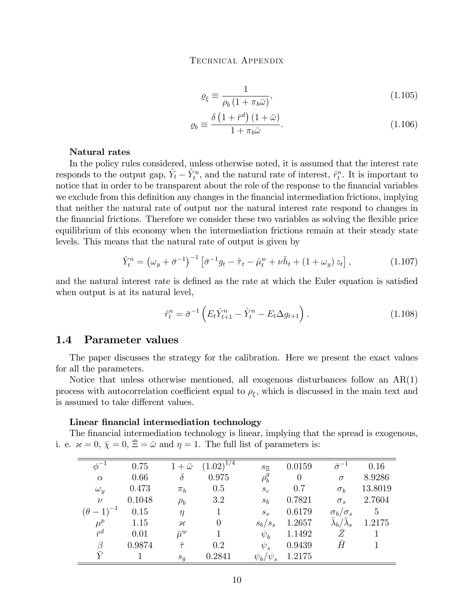$$
\varrho_{\xi} \equiv \frac{1}{\rho_b \left(1 + \pi_b \bar{\omega}\right)},\tag{1.105}
$$

$$
\varrho_b \equiv \frac{\delta \left(1 + \bar{r}^d\right) \left(1 + \bar{\omega}\right)}{1 + \pi_b \bar{\omega}}.\tag{1.106}
$$

#### Natural rates

In the policy rules considered, unless otherwise noted, it is assumed that the interest rate responds to the output gap,  $\hat{Y}_t - \hat{Y}_t^n$ , and the natural rate of interest,  $\hat{r}_t^n$ . It is important to notice that in order to be transparent about the role of the response to the financial variables we exclude from this definition any changes in the financial intermediation frictions, implying that neither the natural rate of output nor the natural interest rate respond to changes in the financial frictions. Therefore we consider these two variables as solving the flexible price equilibrium of this economy when the intermediation frictions remain at their steady state levels. This means that the natural rate of output is given by

$$
\hat{Y}_t^n = \left(\omega_y + \bar{\sigma}^{-1}\right)^{-1} \left[\bar{\sigma}^{-1}g_t - \hat{\tau}_t - \hat{\mu}_t^w + \nu \bar{h}_t + \left(1 + \omega_y\right)z_t\right],\tag{1.107}
$$

and the natural interest rate is defined as the rate at which the Euler equation is satisfied when output is at its natural level,

$$
\hat{r}_t^n = \bar{\sigma}^{-1} \left( E_t \hat{Y}_{t+1}^n - \hat{Y}_t^n - E_t \Delta g_{t+1} \right). \tag{1.108}
$$

### 1.4 Parameter values

The paper discusses the strategy for the calibration. Here we present the exact values for all the parameters.

Notice that unless otherwise mentioned, all exogenous disturbances follow an AR(1) process with autocorrelation coefficient equal to  $\rho_{\xi}$ , which is discussed in the main text and is assumed to take different values.

#### Linear financial intermediation technology

The financial intermediation technology is linear, implying that the spread is exogenous, i. e.  $\varkappa = 0$ ,  $\bar{\chi} = 0$ ,  $\bar{\Xi} = \bar{\omega}$  and  $\eta = 1$ . The full list of parameters is:

| $\phi^{-1}$         | 0.75   | $1+\bar{\omega}$ | $(1.02)^{1/4}$ | $S_{\Xi}$         | 0.0159   | $\bar{\sigma}^{-1}$               | 0.16            |
|---------------------|--------|------------------|----------------|-------------------|----------|-----------------------------------|-----------------|
| $\alpha$            | 0.66   | $\delta$         | 0.975          | $\rho_b^g$        | $\theta$ | $\sigma$                          | 8.9286          |
| $\omega_y$          | 0.473  | $\pi_h$          | 0.5            | $S_{\mathcal{C}}$ | 0.7      | $\sigma_b$                        | 13.8019         |
| $\nu$               | 0.1048 | $\rho_b$         | 3.2            | $S_h$             | 0.7821   | $\sigma_s$                        | 2.7604          |
| $(\theta - 1)^{-1}$ | 0.15   | $\eta$           |                | $S_{\rm s}$       | 0.6179   | $\sigma_b/\sigma_s$               | $5\overline{)}$ |
| $\mu^p$             | 1.15   | $\varkappa$      | $\theta$       | $s_b/s_s$         | 1.2657   | $\bar{\lambda}_b/\bar{\lambda}_s$ | 1.2175          |
| $\bar{r}^d$         | 0.01   | $\bar{\mu}^w$    |                | $\psi_b$          | 1.1492   | $\bar{Z}$                         |                 |
| $\beta$             | 0.9874 | $\bar{\tau}$     | 0.2            | $\psi_s$          | 0.9439   | Ā                                 |                 |
|                     |        | $s_q$            | 0.2841         | $\psi_b/\psi_s$   | 1.2175   |                                   |                 |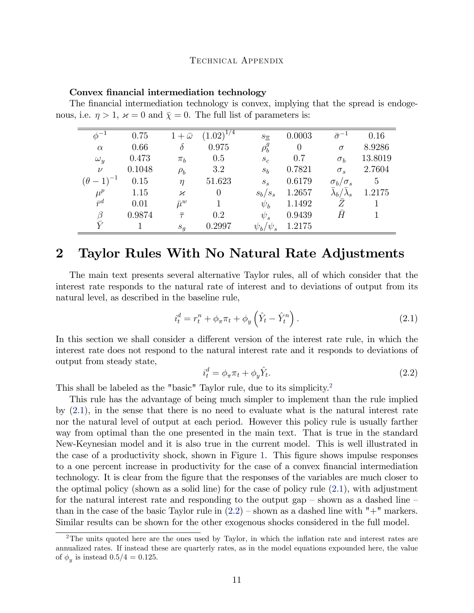## Convex financial intermediation technology

| The financial intermediation technology is convex, implying that the spread is endoge-              |  |  |
|-----------------------------------------------------------------------------------------------------|--|--|
| nous, i.e. $\eta > 1$ , $\varkappa = 0$ and $\overline{\chi} = 0$ . The full list of parameters is: |  |  |

| $\phi^{-1}$         | 0.75   | $1+\bar{\omega}$         | $(1.02)^{1/4}$ | $s_{\Xi}$       | 0.0003   | $\bar{\sigma}^{-1}$   | 0.16           |
|---------------------|--------|--------------------------|----------------|-----------------|----------|-----------------------|----------------|
| $\alpha$            | 0.66   | $\delta$                 | 0.975          | $\rho_{b}^{g}$  | $\theta$ | $\sigma$              | 8.9286         |
| $\omega_y$          | 0.473  | $\pi_b$                  | 0.5            | $S_{c}$         | 0.7      | $\sigma_b$            | 13.8019        |
| $\nu$               | 0.1048 | $\rho_b$                 | 3.2            | $s_b$           | 0.7821   | $\sigma_s$            | 2.7604         |
| $(\theta - 1)^{-1}$ | 0.15   | $\eta$                   | 51.623         | $S_{S}$         | 0.6179   | $\sigma_b/\sigma_s$   | $\overline{5}$ |
| $\mu^p$             | 1.15   | $\boldsymbol{\varkappa}$ | $\theta$       | $s_b/s_s$       | 1.2657   | $\lambda_b/\lambda_s$ | 1.2175         |
| $\bar{r}^d$         | 0.01   | $\bar{\mu}^w$            |                | $\psi_b$        | 1.1492   | Z                     |                |
| $\beta$             | 0.9874 | $\bar{\tau}$             | 0.2            | $\psi_s$        | 0.9439   | $\bar{H}$             |                |
|                     |        | $\boldsymbol{s}_g$       | 0.2997         | $\psi_b/\psi_s$ | 1.2175   |                       |                |

## 2 Taylor Rules With No Natural Rate Adjustments

The main text presents several alternative Taylor rules, all of which consider that the interest rate responds to the natural rate of interest and to deviations of output from its natural level, as described in the baseline rule,

<span id="page-10-1"></span>
$$
i_t^d = r_t^n + \phi_\pi \pi_t + \phi_y \left(\hat{Y}_t - \hat{Y}_t^n\right). \tag{2.1}
$$

In this section we shall consider a different version of the interest rate rule, in which the interest rate does not respond to the natural interest rate and it responds to deviations of output from steady state,

<span id="page-10-2"></span>
$$
i_t^d = \phi_\pi \pi_t + \phi_y \hat{Y}_t. \tag{2.2}
$$

This shall be labeled as the "basic" Taylor rule, due to its simplicity.<sup>[2](#page-10-0)</sup>

This rule has the advantage of being much simpler to implement than the rule implied by [\(2.1\)](#page-10-1), in the sense that there is no need to evaluate what is the natural interest rate nor the natural level of output at each period. However this policy rule is usually farther way from optimal than the one presented in the main text. That is true in the standard New-Keynesian model and it is also true in the current model. This is well illustrated in the case of a productivity shock, shown in Figure [1.](#page-23-0) This figure shows impulse responses to a one percent increase in productivity for the case of a convex financial intermediation technology. It is clear from the Ögure that the responses of the variables are much closer to the optimal policy (shown as a solid line) for the case of policy rule [\(2.1\)](#page-10-1), with adjustment for the natural interest rate and responding to the output gap  $-$  shown as a dashed line  $$ than in the case of the basic Taylor rule in  $(2.2)$  – shown as a dashed line with " $+$ " markers. Similar results can be shown for the other exogenous shocks considered in the full model.

<span id="page-10-0"></span><sup>&</sup>lt;sup>2</sup>The units quoted here are the ones used by Taylor, in which the inflation rate and interest rates are annualized rates. If instead these are quarterly rates, as in the model equations expounded here, the value of  $\phi_y$  is instead  $0.5/4 = 0.125$ .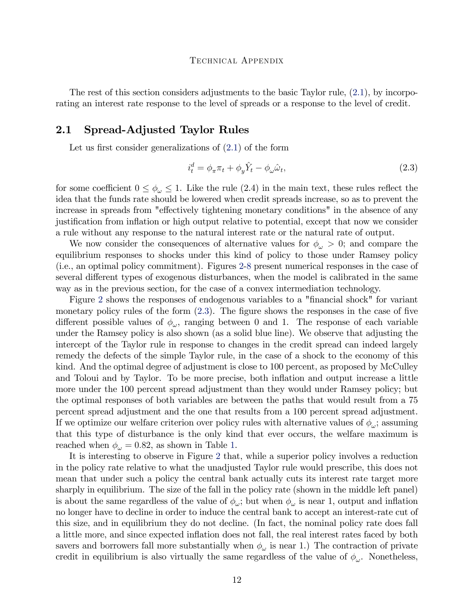The rest of this section considers adjustments to the basic Taylor rule, [\(2.1\)](#page-10-1), by incorporating an interest rate response to the level of spreads or a response to the level of credit.

## 2.1 Spread-Adjusted Taylor Rules

Let us first consider generalizations of  $(2.1)$  of the form

<span id="page-11-0"></span>
$$
i_t^d = \phi_\pi \pi_t + \phi_y \hat{Y}_t - \phi_\omega \hat{\omega}_t,\tag{2.3}
$$

for some coefficient  $0 \le \phi_\omega \le 1$ . Like the rule (2.4) in the main text, these rules reflect the idea that the funds rate should be lowered when credit spreads increase, so as to prevent the increase in spreads from "effectively tightening monetary conditions" in the absence of any justification from inflation or high output relative to potential, except that now we consider a rule without any response to the natural interest rate or the natural rate of output.

We now consider the consequences of alternative values for  $\phi_{\omega} > 0$ ; and compare the equilibrium responses to shocks under this kind of policy to those under Ramsey policy (i.e., an optimal policy commitment). Figures [2-](#page-24-0)[8](#page-30-0) present numerical responses in the case of several different types of exogenous disturbances, when the model is calibrated in the same way as in the previous section, for the case of a convex intermediation technology.

Figure [2](#page-24-0) shows the responses of endogenous variables to a "financial shock" for variant monetary policy rules of the form  $(2.3)$ . The figure shows the responses in the case of five different possible values of  $\phi_{\omega}$ , ranging between 0 and 1. The response of each variable under the Ramsey policy is also shown (as a solid blue line). We observe that adjusting the intercept of the Taylor rule in response to changes in the credit spread can indeed largely remedy the defects of the simple Taylor rule, in the case of a shock to the economy of this kind. And the optimal degree of adjustment is close to 100 percent, as proposed by McCulley and Toloui and by Taylor. To be more precise, both inflation and output increase a little more under the 100 percent spread adjustment than they would under Ramsey policy; but the optimal responses of both variables are between the paths that would result from a 75 percent spread adjustment and the one that results from a 100 percent spread adjustment. If we optimize our welfare criterion over policy rules with alternative values of  $\phi_{\omega}$ ; assuming that this type of disturbance is the only kind that ever occurs, the welfare maximum is reached when  $\phi_{\omega} = 0.82$ , as shown in Table [1.](#page-12-0)

It is interesting to observe in Figure [2](#page-24-0) that, while a superior policy involves a reduction in the policy rate relative to what the unadjusted Taylor rule would prescribe, this does not mean that under such a policy the central bank actually cuts its interest rate target more sharply in equilibrium. The size of the fall in the policy rate (shown in the middle left panel) is about the same regardless of the value of  $\phi_{\omega}$ ; but when  $\phi_{\omega}$  is near 1, output and inflation no longer have to decline in order to induce the central bank to accept an interest-rate cut of this size, and in equilibrium they do not decline. (In fact, the nominal policy rate does fall a little more, and since expected inflation does not fall, the real interest rates faced by both savers and borrowers fall more substantially when  $\phi_{\omega}$  is near 1.) The contraction of private credit in equilibrium is also virtually the same regardless of the value of  $\phi_{\omega}$ . Nonetheless,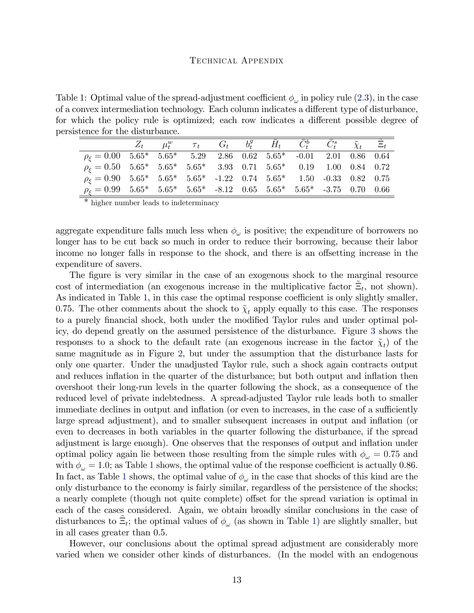<span id="page-12-0"></span>Table 1: Optimal value of the spread-adjustment coefficient  $\phi_{\omega}$  in policy rule [\(2.3\)](#page-11-0), in the case of a convex intermediation technology. Each column indicates a different type of disturbance, for which the policy rule is optimized; each row indicates a different possible degree of persistence for the disturbance.

|                                                                                                  | $Z_t$ $\mu_t^w$ $\tau_t$ $G_t$ $b_t^g$ $\bar{H}_t$ $\bar{C}_t^b$ $\bar{C}_t^s$ $\tilde{\chi}_t$ $\Xi_t$ |  |  |  |  |
|--------------------------------------------------------------------------------------------------|---------------------------------------------------------------------------------------------------------|--|--|--|--|
| $\rho_{\xi} = 0.00$ $5.65^*$ $5.65^*$ $5.29$ $2.86$ $0.62$ $5.65^*$ $-0.01$ $2.01$ $0.86$ $0.64$ |                                                                                                         |  |  |  |  |
| $\rho_{\xi} = 0.50$ 5.65* 5.65* 5.65* 3.93 0.71 5.65* 0.19 1.00 0.84 0.72                        |                                                                                                         |  |  |  |  |
| $\rho_{\varepsilon} = 0.90$ 5.65* 5.65* 5.65* -1.22 0.74 5.65* 1.50 -0.33 0.82 0.75              |                                                                                                         |  |  |  |  |
| $\rho_{\xi} = 0.99$ 5.65* 5.65* 5.65* -8.12 0.65 5.65* 5.65* -3.75 0.70 0.66                     |                                                                                                         |  |  |  |  |

\* higher number leads to indeterminacy

aggregate expenditure falls much less when  $\phi_{\omega}$  is positive; the expenditure of borrowers no longer has to be cut back so much in order to reduce their borrowing, because their labor income no longer falls in response to the shock, and there is an offsetting increase in the expenditure of savers.

The figure is very similar in the case of an exogenous shock to the marginal resource cost of intermediation (an exogenous increase in the multiplicative factor  $\tilde{\Xi}_t$ , not shown). As indicated in Table [1,](#page-12-0) in this case the optimal response coefficient is only slightly smaller, 0.75. The other comments about the shock to  $\tilde{\chi}_t$  apply equally to this case. The responses to a purely financial shock, both under the modified Taylor rules and under optimal policy, do depend greatly on the assumed persistence of the disturbance. Figure [3](#page-25-0) shows the responses to a shock to the default rate (an exogenous increase in the factor  $\tilde{\chi}_t$ ) of the same magnitude as in Figure [2,](#page-24-0) but under the assumption that the disturbance lasts for only one quarter. Under the unadjusted Taylor rule, such a shock again contracts output and reduces inflation in the quarter of the disturbance; but both output and inflation then overshoot their long-run levels in the quarter following the shock, as a consequence of the reduced level of private indebtedness. A spread-adjusted Taylor rule leads both to smaller immediate declines in output and inflation (or even to increases, in the case of a sufficiently large spread adjustment), and to smaller subsequent increases in output and inflation (or even to decreases in both variables in the quarter following the disturbance, if the spread adjustment is large enough). One observes that the responses of output and ináation under optimal policy again lie between those resulting from the simple rules with  $\phi_{\omega} = 0.75$  and with  $\phi_{\omega} = 1.0$  $\phi_{\omega} = 1.0$  $\phi_{\omega} = 1.0$ ; as Table 1 shows, the optimal value of the response coefficient is actually 0.86. In fact, as Table [1](#page-12-0) shows, the optimal value of  $\phi_{\omega}$  in the case that shocks of this kind are the only disturbance to the economy is fairly similar, regardless of the persistence of the shocks; a nearly complete (though not quite complete) offset for the spread variation is optimal in each of the cases considered. Again, we obtain broadly similar conclusions in the case of disturbances to  $\tilde{\Xi}_t$ ; the optimal values of  $\phi_\omega$  (as shown in Table [1\)](#page-12-0) are slightly smaller, but in all cases greater than 0.5.

However, our conclusions about the optimal spread adjustment are considerably more varied when we consider other kinds of disturbances. (In the model with an endogenous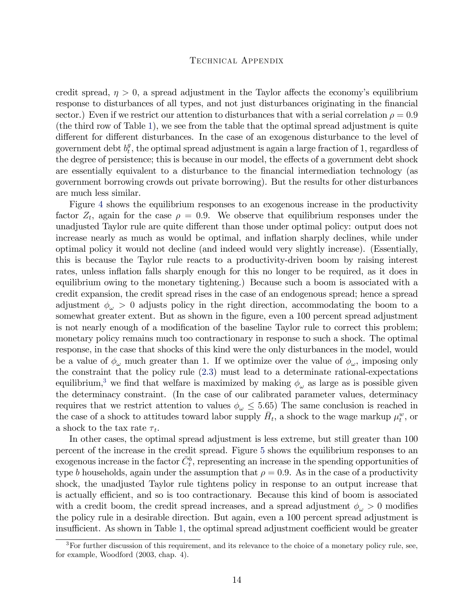credit spread,  $\eta > 0$ , a spread adjustment in the Taylor affects the economy's equilibrium response to disturbances of all types, and not just disturbances originating in the financial sector.) Even if we restrict our attention to disturbances that with a serial correlation  $\rho = 0.9$ (the third row of Table [1\)](#page-12-0), we see from the table that the optimal spread adjustment is quite different for different disturbances. In the case of an exogenous disturbance to the level of government debt  $b_t^g$  $_t^g$ , the optimal spread adjustment is again a large fraction of 1, regardless of the degree of persistence; this is because in our model, the effects of a government debt shock are essentially equivalent to a disturbance to the financial intermediation technology (as government borrowing crowds out private borrowing). But the results for other disturbances are much less similar.

Figure [4](#page-26-0) shows the equilibrium responses to an exogenous increase in the productivity factor  $Z_t$ , again for the case  $\rho = 0.9$ . We observe that equilibrium responses under the unadjusted Taylor rule are quite different than those under optimal policy: output does not increase nearly as much as would be optimal, and inflation sharply declines, while under optimal policy it would not decline (and indeed would very slightly increase). (Essentially, this is because the Taylor rule reacts to a productivity-driven boom by raising interest rates, unless inflation falls sharply enough for this no longer to be required, as it does in equilibrium owing to the monetary tightening.) Because such a boom is associated with a credit expansion, the credit spread rises in the case of an endogenous spread; hence a spread adjustment  $\phi_{\omega} > 0$  adjusts policy in the right direction, accommodating the boom to a somewhat greater extent. But as shown in the figure, even a 100 percent spread adjustment is not nearly enough of a modification of the baseline Taylor rule to correct this problem; monetary policy remains much too contractionary in response to such a shock. The optimal response, in the case that shocks of this kind were the only disturbances in the model, would be a value of  $\phi_{\omega}$  much greater than 1. If we optimize over the value of  $\phi_{\omega}$ , imposing only the constraint that the policy rule [\(2.3\)](#page-11-0) must lead to a determinate rational-expectations equilibrium,<sup>[3](#page-13-0)</sup> we find that welfare is maximized by making  $\phi_{\omega}$  as large as is possible given the determinacy constraint. (In the case of our calibrated parameter values, determinacy requires that we restrict attention to values  $\phi_{\omega} \leq 5.65$ ) The same conclusion is reached in the case of a shock to attitudes toward labor supply  $\bar{H}_t$ , a shock to the wage markup  $\mu_t^w$ , or a shock to the tax rate  $\tau_t$ .

In other cases, the optimal spread adjustment is less extreme, but still greater than 100 percent of the increase in the credit spread. Figure [5](#page-27-0) shows the equilibrium responses to an exogenous increase in the factor  $\bar{C}_t^b$ , representing an increase in the spending opportunities of type b households, again under the assumption that  $\rho = 0.9$ . As in the case of a productivity shock, the unadjusted Taylor rule tightens policy in response to an output increase that is actually efficient, and so is too contractionary. Because this kind of boom is associated with a credit boom, the credit spread increases, and a spread adjustment  $\phi_{\omega} > 0$  modifies the policy rule in a desirable direction. But again, even a 100 percent spread adjustment is insufficient. As shown in Table [1,](#page-12-0) the optimal spread adjustment coefficient would be greater

<span id="page-13-0"></span><sup>&</sup>lt;sup>3</sup>For further discussion of this requirement, and its relevance to the choice of a monetary policy rule, see, for example, Woodford (2003, chap. 4).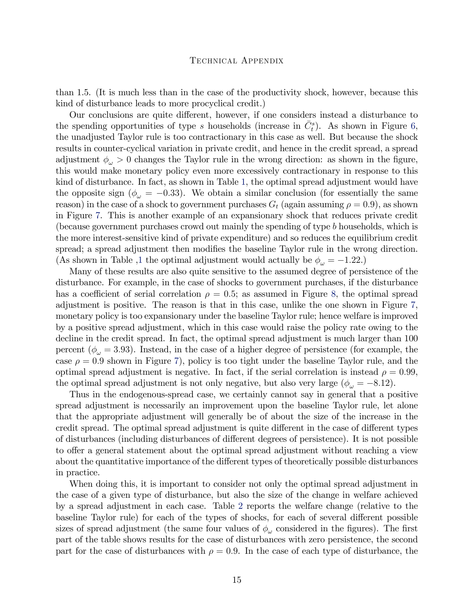than 1.5. (It is much less than in the case of the productivity shock, however, because this kind of disturbance leads to more procyclical credit.)

Our conclusions are quite different, however, if one considers instead a disturbance to the spending opportunities of type s households (increase in  $\bar{C}_{t}^{s}$ ). As shown in Figure [6,](#page-28-0) the unadjusted Taylor rule is too contractionary in this case as well. But because the shock results in counter-cyclical variation in private credit, and hence in the credit spread, a spread adjustment  $\phi_{\omega} > 0$  changes the Taylor rule in the wrong direction: as shown in the figure, this would make monetary policy even more excessively contractionary in response to this kind of disturbance. In fact, as shown in Table [1,](#page-12-0) the optimal spread adjustment would have the opposite sign ( $\phi_{\omega} = -0.33$ ). We obtain a similar conclusion (for essentially the same reason) in the case of a shock to government purchases  $G_t$  (again assuming  $\rho = 0.9$ ), as shown in Figure [7.](#page-29-0) This is another example of an expansionary shock that reduces private credit (because government purchases crowd out mainly the spending of type b households, which is the more interest-sensitive kind of private expenditure) and so reduces the equilibrium credit spread; a spread adjustment then modifies the baseline Taylor rule in the wrong direction. (As shown in Table [,1](#page-12-0) the optimal adjustment would actually be  $\phi_{\omega} = -1.22$ .)

Many of these results are also quite sensitive to the assumed degree of persistence of the disturbance. For example, in the case of shocks to government purchases, if the disturbance has a coefficient of serial correlation  $\rho = 0.5$ ; as assumed in Figure [8,](#page-30-0) the optimal spread adjustment is positive. The reason is that in this case, unlike the one shown in Figure [7,](#page-29-0) monetary policy is too expansionary under the baseline Taylor rule; hence welfare is improved by a positive spread adjustment, which in this case would raise the policy rate owing to the decline in the credit spread. In fact, the optimal spread adjustment is much larger than 100 percent ( $\phi_{\omega} = 3.93$ ). Instead, in the case of a higher degree of persistence (for example, the case  $\rho = 0.9$  shown in Figure [7\)](#page-29-0), policy is too tight under the baseline Taylor rule, and the optimal spread adjustment is negative. In fact, if the serial correlation is instead  $\rho = 0.99$ , the optimal spread adjustment is not only negative, but also very large ( $\phi_{\omega} = -8.12$ ).

Thus in the endogenous-spread case, we certainly cannot say in general that a positive spread adjustment is necessarily an improvement upon the baseline Taylor rule, let alone that the appropriate adjustment will generally be of about the size of the increase in the credit spread. The optimal spread adjustment is quite different in the case of different types of disturbances (including disturbances of different degrees of persistence). It is not possible to offer a general statement about the optimal spread adjustment without reaching a view about the quantitative importance of the different types of theoretically possible disturbances in practice.

When doing this, it is important to consider not only the optimal spread adjustment in the case of a given type of disturbance, but also the size of the change in welfare achieved by a spread adjustment in each case. Table [2](#page-15-0) reports the welfare change (relative to the baseline Taylor rule) for each of the types of shocks, for each of several different possible sizes of spread adjustment (the same four values of  $\phi_{\omega}$  considered in the figures). The first part of the table shows results for the case of disturbances with zero persistence, the second part for the case of disturbances with  $\rho = 0.9$ . In the case of each type of disturbance, the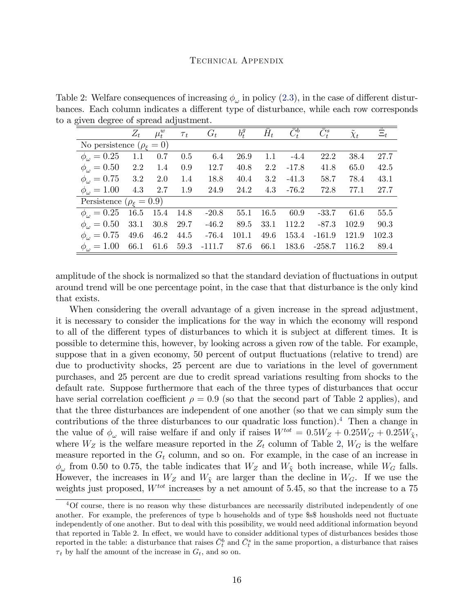<span id="page-15-0"></span>Table 2: Welfare consequences of increasing  $\phi_{\omega}$  in policy [\(2.3\)](#page-11-0), in the case of different disturbances. Each column indicates a different type of disturbance, while each row corresponds to a given degree of spread adjustment.

|                                         | $Z_t$     | $\mu_t^w$      | $\tau_t$ | $G_t$   | $b_t^g$ | $\bar{H}_t$ | $\overline{\bar{C}^b_t}$ | $\bar{C}_{t}^{s}$ | $\tilde{\chi}_t$ | $\Xi_t$ |
|-----------------------------------------|-----------|----------------|----------|---------|---------|-------------|--------------------------|-------------------|------------------|---------|
| No persistence $(\rho_{\varepsilon}=0)$ |           |                |          |         |         |             |                          |                   |                  |         |
| $\phi_{\omega} = 0.25$                  | 1.1       | 0.7            | $0.5\,$  | 6.4     | 26.9    | 1.1         | $-4.4$                   | 22.2              | 38.4             | 27.7    |
| $\phi_{\omega} = 0.50$                  | 2.2       | 1.4            | 0.9      | 12.7    | 40.8    | $2.2\,$     | $-17.8$                  | 41.8              | 65.0             | 42.5    |
| $\phi_{\omega} = 0.75$ 3.2              |           | 2.0            | 1.4      | 18.8    | 40.4    | $3.2\,$     | $-41.3$                  | 58.7              | 78.4             | 43.1    |
| $\phi_{\omega} = 1.00$                  | $4.3$ 2.7 |                | 1.9      | 24.9    | 24.2    | 4.3         | $-76.2$                  | 72.8              | 77.1             | 27.7    |
| Persistence ( $\rho_{\epsilon} = 0.9$ ) |           |                |          |         |         |             |                          |                   |                  |         |
| $\phi_{\omega} = 0.25$                  |           | 16.5 15.4 14.8 |          | $-20.8$ | 55.1    | 16.5        | 60.9                     | $-33.7$           | 61.6             | 55.5    |
| $\phi_{\omega} = 0.50$                  | 33.1      | 30.8           | 29.7     | $-46.2$ | 89.5    | 33.1        | 112.2                    | $-87.3$           | 102.9            | 90.3    |
| $\phi_{\omega} = 0.75$                  | 49.6      | 46.2           | 44.5     | $-76.4$ | 101.1   | 49.6        | 153.4                    | $-161.9$          | 121.9            | 102.3   |
| $\phi_{\omega} = 1.00$                  | 66.1      | 61.6           | 59.3     | -111.7  | 87.6    | 66.1        | 183.6                    | -258.7            | 116.2            | 89.4    |

amplitude of the shock is normalized so that the standard deviation of fluctuations in output around trend will be one percentage point, in the case that that disturbance is the only kind that exists.

When considering the overall advantage of a given increase in the spread adjustment, it is necessary to consider the implications for the way in which the economy will respond to all of the different types of disturbances to which it is subject at different times. It is possible to determine this, however, by looking across a given row of the table. For example, suppose that in a given economy, 50 percent of output fluctuations (relative to trend) are due to productivity shocks, 25 percent are due to variations in the level of government purchases, and 25 percent are due to credit spread variations resulting from shocks to the default rate. Suppose furthermore that each of the three types of disturbances that occur have serial correlation coefficient  $\rho = 0.9$  (so that the second part of Table [2](#page-15-0) applies), and that the three disturbances are independent of one another (so that we can simply sum the contributions of the three disturbances to our quadratic loss function).[4](#page-15-1) Then a change in the value of  $\phi_{\omega}$  will raise welfare if and only if raises  $W^{tot} = 0.5W_Z + 0.25W_G + 0.25W_{\tilde{\chi}}$ , where  $W_Z$  is the welfare measure reported in the  $Z_t$  column of Table [2,](#page-15-0)  $W_G$  is the welfare measure reported in the  $G_t$  column, and so on. For example, in the case of an increase in  $\phi_{\omega}$  from 0.50 to 0.75, the table indicates that  $W_Z$  and  $W_{\tilde{\chi}}$  both increase, while  $W_G$  falls. However, the increases in  $W_Z$  and  $W_{\tilde{\chi}}$  are larger than the decline in  $W_G$ . If we use the weights just proposed,  $W^{tot}$  increases by a net amount of 5.45, so that the increase to a 75

<span id="page-15-1"></span><sup>4</sup>Of course, there is no reason why these disturbances are necessarily distributed independently of one another. For example, the preferences of type b households and of type \$8\$ housholds need not fluctuate independently of one another. But to deal with this possibility, we would need additional information beyond that reported in Table 2. In effect, we would have to consider additional types of disturbances besides those reported in the table: a disturbance that raises  $\bar{C}_{t}^{b}$  and  $\bar{C}_{t}^{s}$  in the same proportion, a disturbance that raises  $\tau_t$  by half the amount of the increase in  $G_t$ , and so on.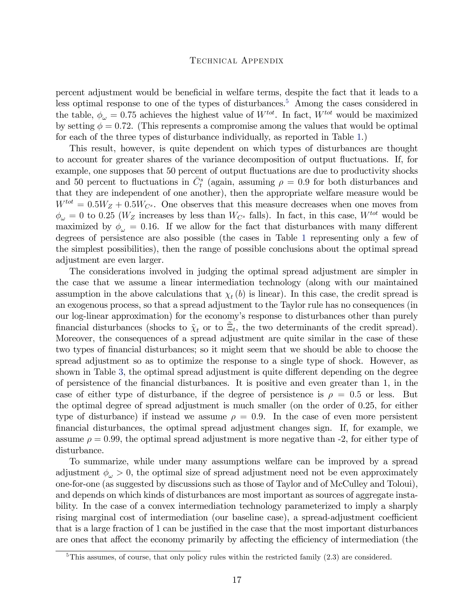percent adjustment would be beneficial in welfare terms, despite the fact that it leads to a less optimal response to one of the types of disturbances.<sup>[5](#page-16-0)</sup> Among the cases considered in the table,  $\phi_{\omega} = 0.75$  achieves the highest value of  $W^{tot}$ . In fact,  $W^{tot}$  would be maximized by setting  $\phi = 0.72$ . (This represents a compromise among the values that would be optimal for each of the three types of disturbance individually, as reported in Table [1.](#page-12-0))

This result, however, is quite dependent on which types of disturbances are thought to account for greater shares of the variance decomposition of output fluctuations. If, for example, one supposes that 50 percent of output fluctuations are due to productivity shocks and 50 percent to fluctuations in  $\bar{C}_t^s$  (again, assuming  $\rho = 0.9$  for both disturbances and that they are independent of one another), then the appropriate welfare measure would be  $W^{tot} = 0.5W_Z + 0.5W_{C^s}$ . One observes that this measure decreases when one moves from  $\phi_{\omega} = 0$  to 0.25 (W<sub>Z</sub> increases by less than  $W_{C^s}$  falls). In fact, in this case,  $W^{tot}$  would be maximized by  $\phi_{\omega} = 0.16$ . If we allow for the fact that disturbances with many different degrees of persistence are also possible (the cases in Table [1](#page-12-0) representing only a few of the simplest possibilities), then the range of possible conclusions about the optimal spread adjustment are even larger.

The considerations involved in judging the optimal spread adjustment are simpler in the case that we assume a linear intermediation technology (along with our maintained assumption in the above calculations that  $\chi_t(b)$  is linear). In this case, the credit spread is an exogenous process, so that a spread adjustment to the Taylor rule has no consequences (in our log-linear approximation) for the economy's response to disturbances other than purely financial disturbances (shocks to  $\tilde{\chi}_t$  or to  $\tilde{\Xi}_t$ , the two determinants of the credit spread). Moreover, the consequences of a spread adjustment are quite similar in the case of these two types of financial disturbances; so it might seem that we should be able to choose the spread adjustment so as to optimize the response to a single type of shock. However, as shown in Table [3,](#page-17-0) the optimal spread adjustment is quite different depending on the degree of persistence of the Önancial disturbances. It is positive and even greater than 1, in the case of either type of disturbance, if the degree of persistence is  $\rho = 0.5$  or less. But the optimal degree of spread adjustment is much smaller (on the order of 0.25, for either type of disturbance) if instead we assume  $\rho = 0.9$ . In the case of even more persistent Önancial disturbances, the optimal spread adjustment changes sign. If, for example, we assume  $\rho = 0.99$ , the optimal spread adjustment is more negative than -2, for either type of disturbance.

To summarize, while under many assumptions welfare can be improved by a spread adjustment  $\phi_{\omega} > 0$ , the optimal size of spread adjustment need not be even approximately one-for-one (as suggested by discussions such as those of Taylor and of McCulley and Toloui), and depends on which kinds of disturbances are most important as sources of aggregate instability. In the case of a convex intermediation technology parameterized to imply a sharply rising marginal cost of intermediation (our baseline case), a spread-adjustment coefficient that is a large fraction of 1 can be justified in the case that the most important disturbances are ones that affect the economy primarily by affecting the efficiency of intermediation (the

<span id="page-16-0"></span> $5$ This assumes, of course, that only policy rules within the restricted family  $(2.3)$  are considered.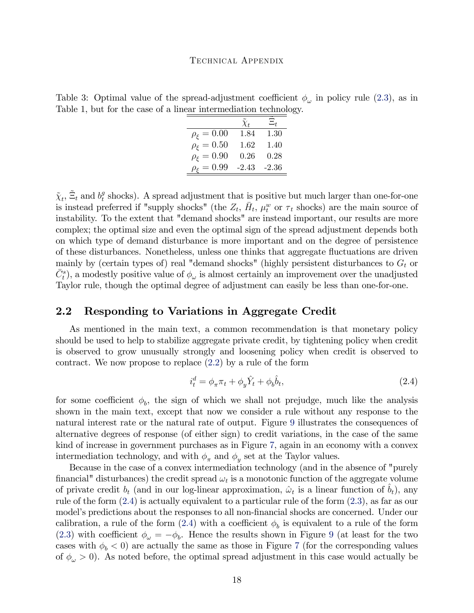<span id="page-17-0"></span>Table 3: Optimal value of the spread-adjustment coefficient  $\phi_{\omega}$  in policy rule [\(2.3\)](#page-11-0), as in Table 1, but for the case of a linear intermediation technology.

|                           | $\tilde{\chi}_t$ | $\Xi_t$ |
|---------------------------|------------------|---------|
| $\rho_{\xi} = 0.00$       | 1.84             | 1.30    |
| $\rho_{\varepsilon}=0.50$ | 1.62             | 1.40    |
| $\rho_{\varepsilon}=0.90$ | 0.26             | 0.28    |
| $\rho_{\varepsilon}=0.99$ | $-2.43$          | $-2.36$ |

 $\tilde{\chi}_t$ ,  $\tilde{\Xi}_t$  and  $b_t^g$  $t<sub>t</sub><sup>g</sup>$  shocks). A spread adjustment that is positive but much larger than one-for-one is instead preferred if "supply shocks" (the  $Z_t$ ,  $\bar{H}_t$ ,  $\mu_t^w$  or  $\tau_t$  shocks) are the main source of instability. To the extent that "demand shocks" are instead important, our results are more complex; the optimal size and even the optimal sign of the spread adjustment depends both on which type of demand disturbance is more important and on the degree of persistence of these disturbances. Nonetheless, unless one thinks that aggregate áuctuations are driven mainly by (certain types of) real "demand shocks" (highly persistent disturbances to  $G_t$  or  $\bar{C}_{t}^{s}$ ), a modestly positive value of  $\phi_{\omega}$  is almost certainly an improvement over the unadjusted Taylor rule, though the optimal degree of adjustment can easily be less than one-for-one.

### 2.2 Responding to Variations in Aggregate Credit

As mentioned in the main text, a common recommendation is that monetary policy should be used to help to stabilize aggregate private credit, by tightening policy when credit is observed to grow unusually strongly and loosening policy when credit is observed to contract. We now propose to replace [\(2.2\)](#page-10-2) by a rule of the form

<span id="page-17-1"></span>
$$
i_t^d = \phi_\pi \pi_t + \phi_y \hat{Y}_t + \phi_b \hat{b}_t,\tag{2.4}
$$

for some coefficient  $\phi_b$ , the sign of which we shall not prejudge, much like the analysis shown in the main text, except that now we consider a rule without any response to the natural interest rate or the natural rate of output. Figure [9](#page-31-0) illustrates the consequences of alternative degrees of response (of either sign) to credit variations, in the case of the same kind of increase in government purchases as in Figure [7,](#page-29-0) again in an economy with a convex intermediation technology, and with  $\phi_{\pi}$  and  $\phi_{y}$  set at the Taylor values.

Because in the case of a convex intermediation technology (and in the absence of "purely financial" disturbances) the credit spread  $\omega_t$  is a monotonic function of the aggregate volume of private credit  $b_t$  (and in our log-linear approximation,  $\hat{\omega}_t$  is a linear function of  $\hat{b}_t$ ), any rule of the form [\(2.4\)](#page-17-1) is actually equivalent to a particular rule of the form [\(2.3\)](#page-11-0), as far as our model's predictions about the responses to all non-financial shocks are concerned. Under our calibration, a rule of the form  $(2.4)$  with a coefficient  $\phi_b$  is equivalent to a rule of the form [\(2.3\)](#page-11-0) with coefficient  $\phi_{\omega} = -\phi_b$ . Hence the results shown in Figure [9](#page-31-0) (at least for the two cases with  $\phi_b < 0$  are actually the same as those in Figure [7](#page-29-0) (for the corresponding values of  $\phi_{\omega} > 0$ . As noted before, the optimal spread adjustment in this case would actually be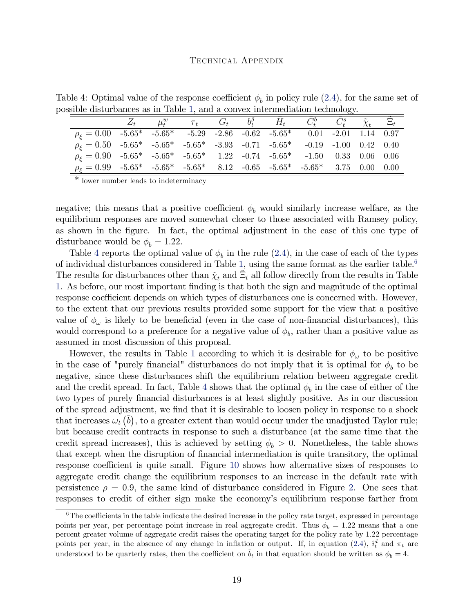Table 4: Optimal value of the response coefficient  $\phi_b$  in policy rule [\(2.4\)](#page-17-1), for the same set of possible disturbances as in Table [1,](#page-12-0) and a convex intermediation technology.

<span id="page-18-0"></span>

|                                                                                   |  | $Z_t$ $\mu_t^w$ $\tau_t$ $G_t$ $b_t^g$ $\bar{H}_t$ $\bar{C}_t^b$ $\bar{C}_t^s$ $\tilde{\chi}_t$ $\Xi_t$ |  |  |  |  |
|-----------------------------------------------------------------------------------|--|---------------------------------------------------------------------------------------------------------|--|--|--|--|
| $\rho_{\xi} = 0.00$ -5.65* -5.65* -5.29 -2.86 -0.62 -5.65* 0.01 -2.01 1.14 0.97   |  |                                                                                                         |  |  |  |  |
| $\rho_{\xi} = 0.50$ -5.65* -5.65* -5.65* -3.93 -0.71 -5.65* -0.19 -1.00 0.42 0.40 |  |                                                                                                         |  |  |  |  |
| $\rho_{\xi} = 0.90$ -5.65* -5.65* -5.65* 1.22 -0.74 -5.65* -1.50 0.33 0.06 0.06   |  |                                                                                                         |  |  |  |  |
| $\rho_{\xi} = 0.99$ -5.65* -5.65* -5.65* 8.12 -0.65 -5.65* -5.65* 3.75 0.00 0.00  |  |                                                                                                         |  |  |  |  |

\* lower number leads to indeterminacy

negative; this means that a positive coefficient  $\phi_b$  would similarly increase welfare, as the equilibrium responses are moved somewhat closer to those associated with Ramsey policy, as shown in the Ögure. In fact, the optimal adjustment in the case of this one type of disturbance would be  $\phi_b = 1.22$ .

Table [4](#page-18-0) reports the optimal value of  $\phi_b$  in the rule [\(2.4\)](#page-17-1), in the case of each of the types of individual disturbances considered in Table [1,](#page-12-0) using the same format as the earlier table.<sup>[6](#page-18-1)</sup> The results for disturbances other than  $\tilde{\chi}_t$  and  $\tilde{\Xi}_t$  all follow directly from the results in Table [1.](#page-12-0) As before, our most important Önding is that both the sign and magnitude of the optimal response coefficient depends on which types of disturbances one is concerned with. However, to the extent that our previous results provided some support for the view that a positive value of  $\phi_{\omega}$  is likely to be beneficial (even in the case of non-financial disturbances), this would correspond to a preference for a negative value of  $\phi_b$ , rather than a positive value as assumed in most discussion of this proposal.

However, the results in Table [1](#page-12-0) according to which it is desirable for  $\phi_{\omega}$  to be positive in the case of "purely financial" disturbances do not imply that it is optimal for  $\phi_b$  to be negative, since these disturbances shift the equilibrium relation between aggregate credit and the credit spread. In fact, Table [4](#page-18-0) shows that the optimal  $\phi_b$  in the case of either of the two types of purely financial disturbances is at least slightly positive. As in our discussion of the spread adjustment, we Önd that it is desirable to loosen policy in response to a shock that increases  $\omega_t(\bar{b})$ , to a greater extent than would occur under the unadjusted Taylor rule; but because credit contracts in response to such a disturbance (at the same time that the credit spread increases), this is achieved by setting  $\phi_b > 0$ . Nonetheless, the table shows that except when the disruption of Önancial intermediation is quite transitory, the optimal response coefficient is quite small. Figure [10](#page-32-0) shows how alternative sizes of responses to aggregate credit change the equilibrium responses to an increase in the default rate with persistence  $\rho = 0.9$ , the same kind of disturbance considered in Figure [2.](#page-24-0) One sees that responses to credit of either sign make the economy's equilibrium response farther from

<span id="page-18-1"></span> $6$ The coefficients in the table indicate the desired increase in the policy rate target, expressed in percentage points per year, per percentage point increase in real aggregate credit. Thus  $\phi_b = 1.22$  means that a one percent greater volume of aggregate credit raises the operating target for the policy rate by 1.22 percentage points per year, in the absence of any change in inflation or output. If, in equation [\(2.4\)](#page-17-1),  $\hat{i}_{t}^{d}$  and  $\pi_{t}$  are understood to be quarterly rates, then the coefficient on  $\hat{b}_t$  in that equation should be written as  $\phi_b = 4$ .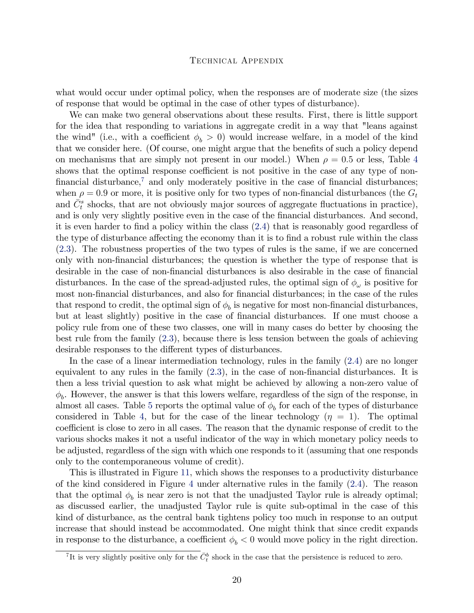what would occur under optimal policy, when the responses are of moderate size (the sizes of response that would be optimal in the case of other types of disturbance).

We can make two general observations about these results. First, there is little support for the idea that responding to variations in aggregate credit in a way that "leans against the wind" (i.e., with a coefficient  $\phi_b > 0$ ) would increase welfare, in a model of the kind that we consider here. (Of course, one might argue that the benefits of such a policy depend on mechanisms that are simply not present in our model.) When  $\rho = 0.5$  or less, Table [4](#page-18-0) shows that the optimal response coefficient is not positive in the case of any type of nonfinancial disturbance,<sup> $7$ </sup> and only moderately positive in the case of financial disturbances; when  $\rho = 0.9$  or more, it is positive only for two types of non-financial disturbances (the  $G_t$ and  $\overline{C}_t^s$  shocks, that are not obviously major sources of aggregate fluctuations in practice), and is only very slightly positive even in the case of the financial disturbances. And second, it is even harder to find a policy within the class [\(2.4\)](#page-17-1) that is reasonably good regardless of the type of disturbance affecting the economy than it is to find a robust rule within the class [\(2.3\)](#page-11-0). The robustness properties of the two types of rules is the same, if we are concerned only with non-Önancial disturbances; the question is whether the type of response that is desirable in the case of non-financial disturbances is also desirable in the case of financial disturbances. In the case of the spread-adjusted rules, the optimal sign of  $\phi_{\omega}$  is positive for most non-financial disturbances, and also for financial disturbances; in the case of the rules that respond to credit, the optimal sign of  $\phi_b$  is negative for most non-financial disturbances, but at least slightly) positive in the case of financial disturbances. If one must choose a policy rule from one of these two classes, one will in many cases do better by choosing the best rule from the family [\(2.3\)](#page-11-0), because there is less tension between the goals of achieving desirable responses to the different types of disturbances.

In the case of a linear intermediation technology, rules in the family [\(2.4\)](#page-17-1) are no longer equivalent to any rules in the family  $(2.3)$ , in the case of non-financial disturbances. It is then a less trivial question to ask what might be achieved by allowing a non-zero value of  $\phi_b$ . However, the answer is that this lowers welfare, regardless of the sign of the response, in almost all cases. Table [5](#page-20-0) reports the optimal value of  $\phi_b$  for each of the types of disturbance considered in Table [4,](#page-18-0) but for the case of the linear technology  $(\eta = 1)$ . The optimal coefficient is close to zero in all cases. The reason that the dynamic response of credit to the various shocks makes it not a useful indicator of the way in which monetary policy needs to be adjusted, regardless of the sign with which one responds to it (assuming that one responds only to the contemporaneous volume of credit).

This is illustrated in Figure [11,](#page-33-0) which shows the responses to a productivity disturbance of the kind considered in Figure [4](#page-26-0) under alternative rules in the family [\(2.4\)](#page-17-1). The reason that the optimal  $\phi_b$  is near zero is not that the unadjusted Taylor rule is already optimal; as discussed earlier, the unadjusted Taylor rule is quite sub-optimal in the case of this kind of disturbance, as the central bank tightens policy too much in response to an output increase that should instead be accommodated. One might think that since credit expands in response to the disturbance, a coefficient  $\phi_b < 0$  would move policy in the right direction.

<span id="page-19-0"></span><sup>&</sup>lt;sup>7</sup>It is very slightly positive only for the  $\bar{C}_t^b$  shock in the case that the persistence is reduced to zero.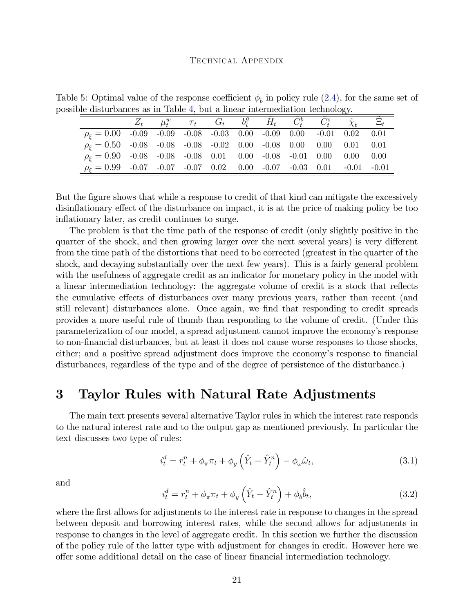Table 5: Optimal value of the response coefficient  $\phi_b$  in policy rule [\(2.4\)](#page-17-1), for the same set of possible disturbances as in Table [4,](#page-18-0) but a linear intermediation technology.

<span id="page-20-0"></span>

|                                                                              |  |  |  |  | $Z_t$ $\mu_t^w$ $\tau_t$ $G_t$ $b_t^g$ $\bar{H}_t$ $\bar{C}_t^b$ $\bar{C}_t^s$ $\tilde{\chi}_t$ $\Xi_t$ |  |
|------------------------------------------------------------------------------|--|--|--|--|---------------------------------------------------------------------------------------------------------|--|
| $\rho_{\xi} = 0.00$ -0.09 -0.09 -0.08 -0.03 0.00 -0.09 0.00 -0.01 0.02 0.01  |  |  |  |  |                                                                                                         |  |
| $\rho_{\xi} = 0.50$ -0.08 -0.08 -0.08 -0.02 0.00 -0.08 0.00 0.00 0.01 0.01   |  |  |  |  |                                                                                                         |  |
| $\rho_{\xi} = 0.90$ -0.08 -0.08 -0.08 0.01 0.00 -0.08 -0.01 0.00 0.00 0.00   |  |  |  |  |                                                                                                         |  |
| $\rho_{\xi} = 0.99$ -0.07 -0.07 -0.07 0.02 0.00 -0.07 -0.03 0.01 -0.01 -0.01 |  |  |  |  |                                                                                                         |  |

But the figure shows that while a response to credit of that kind can mitigate the excessively disinflationary effect of the disturbance on impact, it is at the price of making policy be too inflationary later, as credit continues to surge.

The problem is that the time path of the response of credit (only slightly positive in the quarter of the shock, and then growing larger over the next several years) is very different from the time path of the distortions that need to be corrected (greatest in the quarter of the shock, and decaying substantially over the next few years). This is a fairly general problem with the usefulness of aggregate credit as an indicator for monetary policy in the model with a linear intermediation technology: the aggregate volume of credit is a stock that reflects the cumulative effects of disturbances over many previous years, rather than recent (and still relevant) disturbances alone. Once again, we find that responding to credit spreads provides a more useful rule of thumb than responding to the volume of credit. (Under this parameterization of our model, a spread adjustment cannot improve the economy's response to non-Önancial disturbances, but at least it does not cause worse responses to those shocks, either; and a positive spread adjustment does improve the economy's response to financial disturbances, regardless of the type and of the degree of persistence of the disturbance.)

## 3 Taylor Rules with Natural Rate Adjustments

The main text presents several alternative Taylor rules in which the interest rate responds to the natural interest rate and to the output gap as mentioned previously. In particular the text discusses two type of rules:

<span id="page-20-2"></span>
$$
i_t^d = r_t^n + \phi_\pi \pi_t + \phi_y \left(\hat{Y}_t - \hat{Y}_t^n\right) - \phi_\omega \hat{\omega}_t,\tag{3.1}
$$

and

<span id="page-20-1"></span>
$$
i_t^d = r_t^n + \phi_\pi \pi_t + \phi_y \left(\hat{Y}_t - \hat{Y}_t^n\right) + \phi_b \hat{b}_t,\tag{3.2}
$$

where the first allows for adjustments to the interest rate in response to changes in the spread between deposit and borrowing interest rates, while the second allows for adjustments in response to changes in the level of aggregate credit. In this section we further the discussion of the policy rule of the latter type with adjustment for changes in credit. However here we offer some additional detail on the case of linear financial intermediation technology.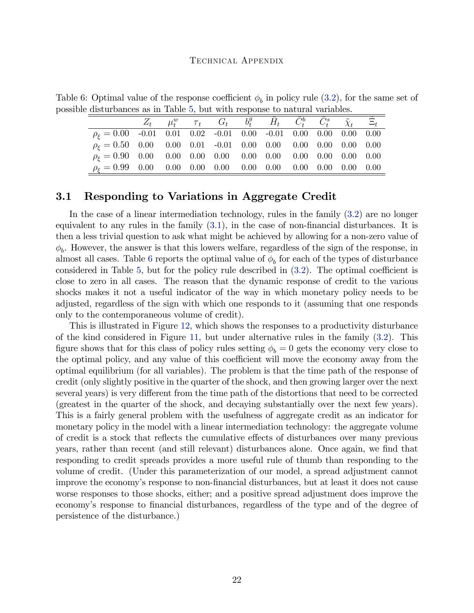Table 6: Optimal value of the response coefficient  $\phi_b$  in policy rule [\(3.2\)](#page-20-1), for the same set of possible disturbances as in Table [5,](#page-20-0) but with response to natural variables.

<span id="page-21-0"></span>

|                                                                          |  |  | $Z_t$ $\mu_t^w$ $\tau_t$ $G_t$ $b_t^g$ $\bar{H}_t$ $\bar{C}_t^b$ $\bar{C}_t^s$ $\tilde{\chi}_t$ $\tilde{\Xi}_t$ |  |  |
|--------------------------------------------------------------------------|--|--|-----------------------------------------------------------------------------------------------------------------|--|--|
| $\rho_{\xi} = 0.00$ -0.01 0.01 0.02 -0.01 0.00 -0.01 0.00 0.00 0.00 0.00 |  |  |                                                                                                                 |  |  |
|                                                                          |  |  |                                                                                                                 |  |  |
|                                                                          |  |  |                                                                                                                 |  |  |
|                                                                          |  |  |                                                                                                                 |  |  |

### 3.1 Responding to Variations in Aggregate Credit

In the case of a linear intermediation technology, rules in the family [\(3.2\)](#page-20-1) are no longer equivalent to any rules in the family  $(3.1)$ , in the case of non-financial disturbances. It is then a less trivial question to ask what might be achieved by allowing for a non-zero value of  $\phi_b$ . However, the answer is that this lowers welfare, regardless of the sign of the response, in almost all cases. Table [6](#page-21-0) reports the optimal value of  $\phi_b$  for each of the types of disturbance considered in Table [5,](#page-20-0) but for the policy rule described in  $(3.2)$ . The optimal coefficient is close to zero in all cases. The reason that the dynamic response of credit to the various shocks makes it not a useful indicator of the way in which monetary policy needs to be adjusted, regardless of the sign with which one responds to it (assuming that one responds only to the contemporaneous volume of credit).

This is illustrated in Figure [12,](#page-34-0) which shows the responses to a productivity disturbance of the kind considered in Figure [11,](#page-33-0) but under alternative rules in the family [\(3.2\)](#page-20-1). This figure shows that for this class of policy rules setting  $\phi_b = 0$  gets the economy very close to the optimal policy, and any value of this coefficient will move the economy away from the optimal equilibrium (for all variables). The problem is that the time path of the response of credit (only slightly positive in the quarter of the shock, and then growing larger over the next several years) is very different from the time path of the distortions that need to be corrected (greatest in the quarter of the shock, and decaying substantially over the next few years). This is a fairly general problem with the usefulness of aggregate credit as an indicator for monetary policy in the model with a linear intermediation technology: the aggregate volume of credit is a stock that reflects the cumulative effects of disturbances over many previous years, rather than recent (and still relevant) disturbances alone. Once again, we find that responding to credit spreads provides a more useful rule of thumb than responding to the volume of credit. (Under this parameterization of our model, a spread adjustment cannot improve the economyís response to non-Önancial disturbances, but at least it does not cause worse responses to those shocks, either; and a positive spread adjustment does improve the economy's response to financial disturbances, regardless of the type and of the degree of persistence of the disturbance.)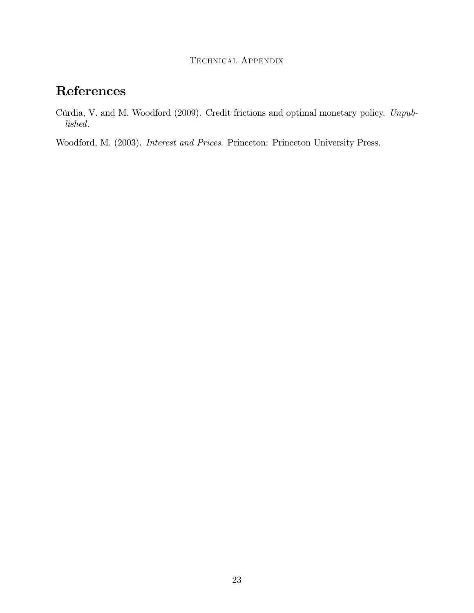## References

<span id="page-22-0"></span>Cúrdia, V. and M. Woodford (2009). Credit frictions and optimal monetary policy. Unpublished.

Woodford, M. (2003). Interest and Prices. Princeton: Princeton University Press.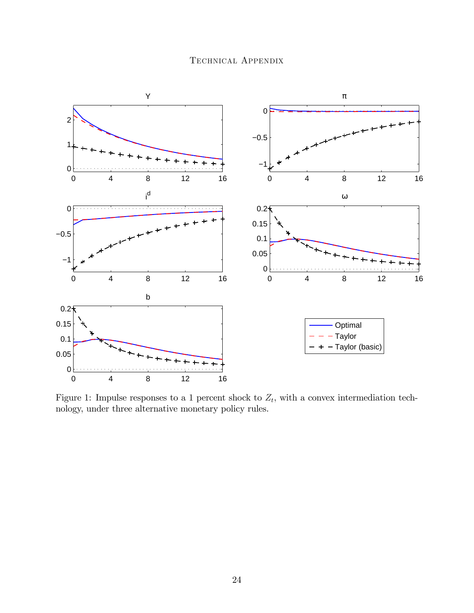

<span id="page-23-0"></span>Figure 1: Impulse responses to a 1 percent shock to  $Z_t$ , with a convex intermediation technology, under three alternative monetary policy rules.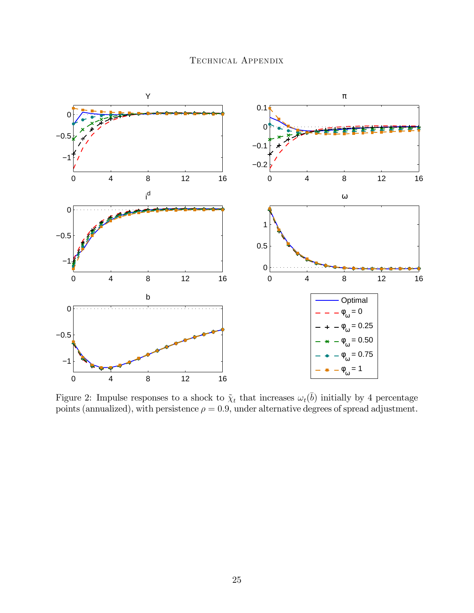

<span id="page-24-0"></span>Figure 2: Impulse responses to a shock to  $\tilde{\chi}_t$  that increases  $\omega_t(\bar{b})$  initially by 4 percentage points (annualized), with persistence  $\rho = 0.9$ , under alternative degrees of spread adjustment.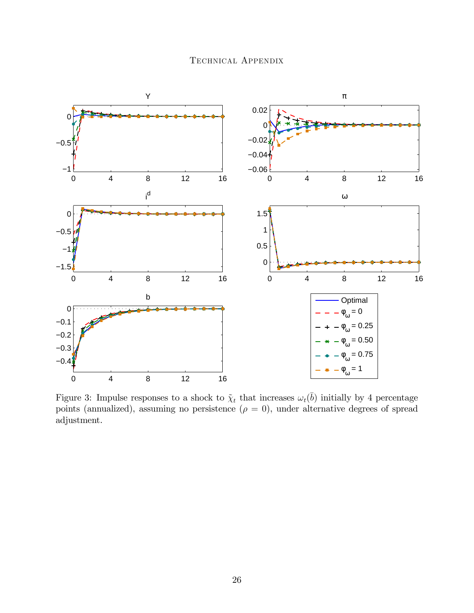

<span id="page-25-0"></span>Figure 3: Impulse responses to a shock to  $\tilde{\chi}_t$  that increases  $\omega_t(\bar{b})$  initially by 4 percentage points (annualized), assuming no persistence  $(\rho = 0)$ , under alternative degrees of spread adjustment.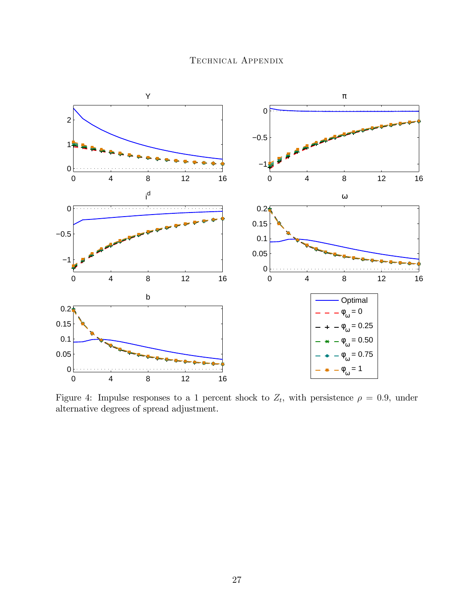

<span id="page-26-0"></span>Figure 4: Impulse responses to a 1 percent shock to  $Z_t$ , with persistence  $\rho = 0.9$ , under alternative degrees of spread adjustment.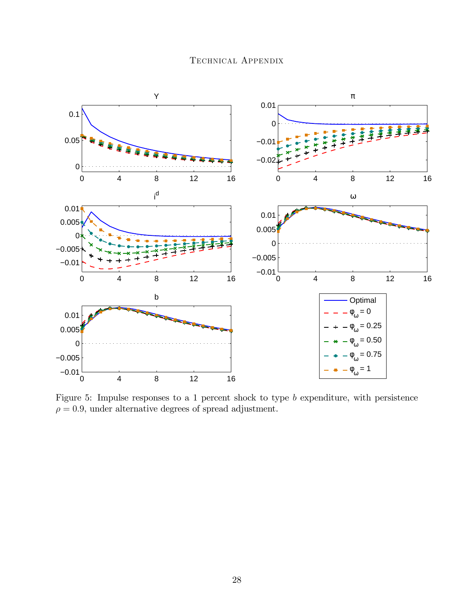

<span id="page-27-0"></span>Figure 5: Impulse responses to a 1 percent shock to type b expenditure, with persistence  $\rho = 0.9$ , under alternative degrees of spread adjustment.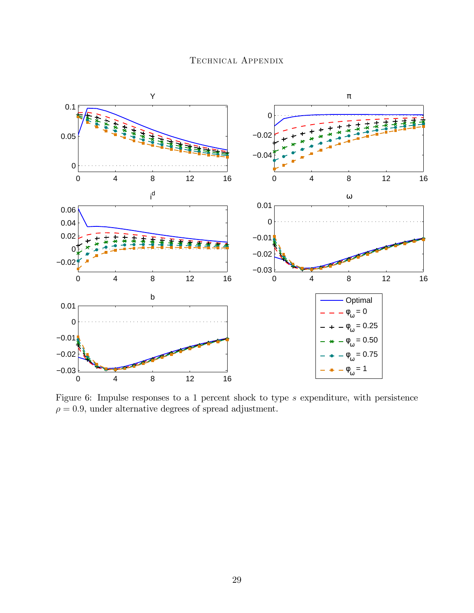

<span id="page-28-0"></span>Figure 6: Impulse responses to a 1 percent shock to type s expenditure, with persistence  $\rho = 0.9$ , under alternative degrees of spread adjustment.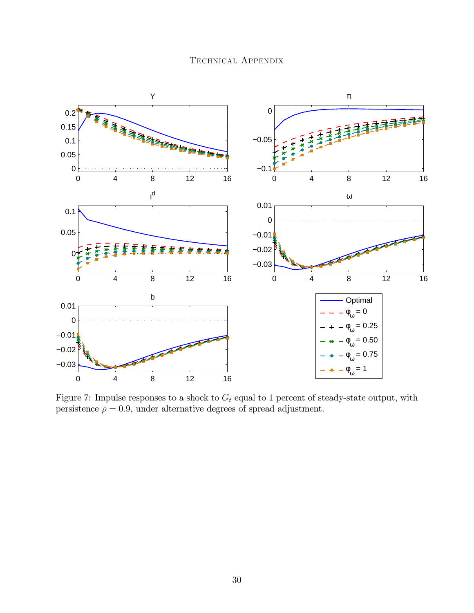

<span id="page-29-0"></span>Figure 7: Impulse responses to a shock to  $G_t$  equal to 1 percent of steady-state output, with persistence  $\rho = 0.9$ , under alternative degrees of spread adjustment.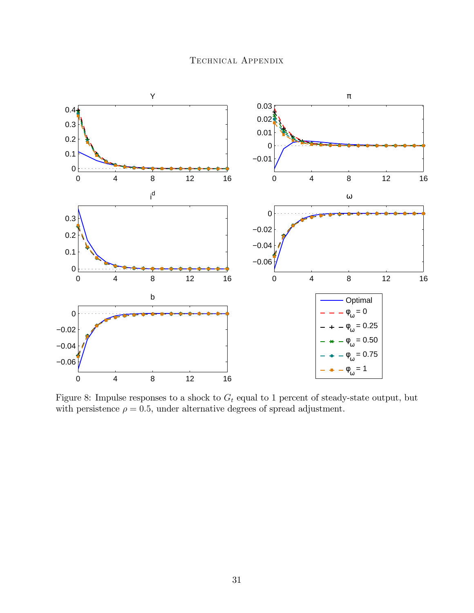

<span id="page-30-0"></span>Figure 8: Impulse responses to a shock to  $G_t$  equal to 1 percent of steady-state output, but with persistence  $\rho = 0.5$ , under alternative degrees of spread adjustment.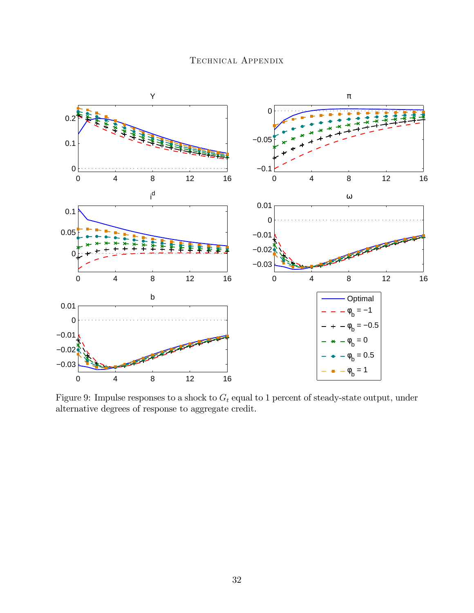

<span id="page-31-0"></span>Figure 9: Impulse responses to a shock to  $G_t$  equal to 1 percent of steady-state output, under alternative degrees of response to aggregate credit.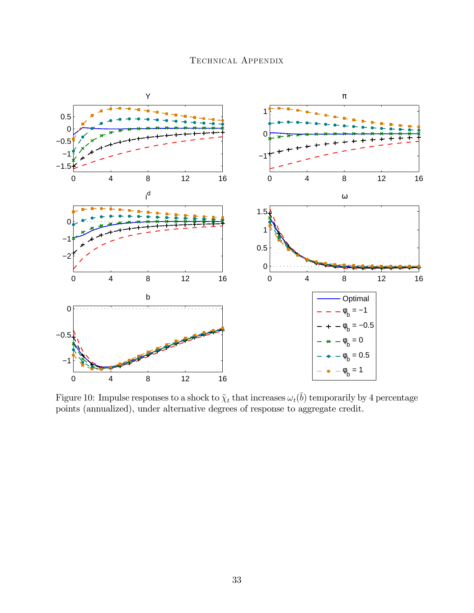

<span id="page-32-0"></span>Figure 10: Impulse responses to a shock to  $\tilde{\chi}_t$  that increases  $\omega_t(\bar{b})$  temporarily by 4 percentage points (annualized), under alternative degrees of response to aggregate credit.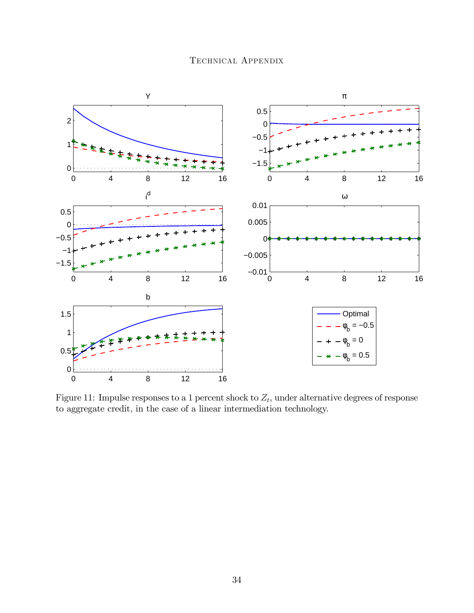

<span id="page-33-0"></span>Figure 11: Impulse responses to a 1 percent shock to  $Z_t$ , under alternative degrees of response to aggregate credit, in the case of a linear intermediation technology.